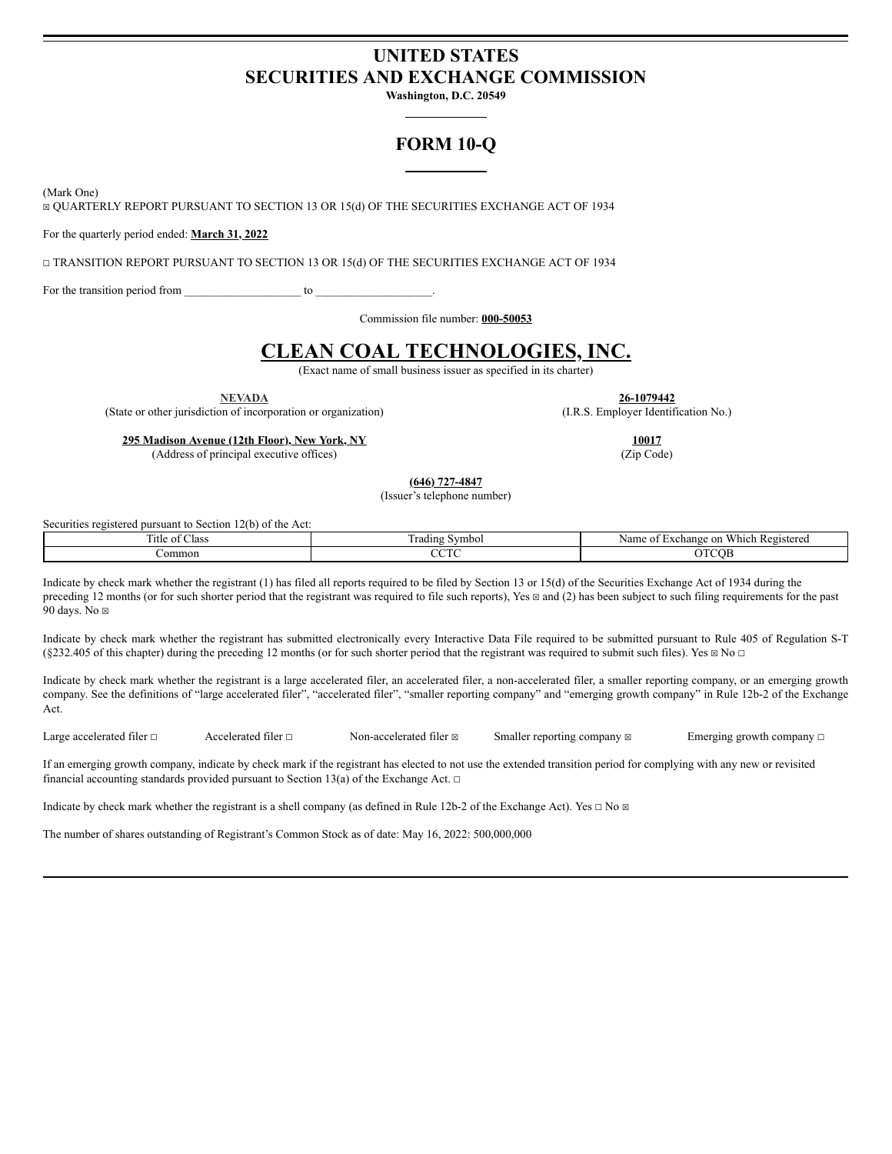# **UNITED STATES SECURITIES AND EXCHANGE COMMISSION**

**Washington, D.C. 20549**

# **FORM 10-Q**

(Mark One)

☒ QUARTERLY REPORT PURSUANT TO SECTION 13 OR 15(d) OF THE SECURITIES EXCHANGE ACT OF 1934

For the quarterly period ended: **March 31, 2022**

☐ TRANSITION REPORT PURSUANT TO SECTION 13 OR 15(d) OF THE SECURITIES EXCHANGE ACT OF 1934

For the transition period from to  $\sim$ 

Commission file number: **000-50053**

# **CLEAN COAL TECHNOLOGIES, INC.**

(Exact name of small business issuer as specified in its charter)

(State or other jurisdiction of incorporation or organization) (I.R.S. Employer Identification No.)

**NEVADA 26-1079442**

**295 Madison Avenue (12th Floor), New York, NY 10017**

(Address of principal executive offices) (Zip Code)

**(646) 727-4847**

(Issuer's telephone number)

Securities registered pursuant to Section 12(b) of the Act:

| , itle<br>_las∘<br>. | . rading<br>Symbo.   | $-1$<br>-on<br><b>POISTET</b><br>Name<br>Whi.<br>D.<br>19e<br>$\lambda$<br>. . |
|----------------------|----------------------|--------------------------------------------------------------------------------|
| ommon                | $\sim$ $\sim$ $\sim$ | $\sim$ $\sim$                                                                  |

Indicate by check mark whether the registrant (1) has filed all reports required to be filed by Section 13 or 15(d) of the Securities Exchange Act of 1934 during the preceding 12 months (or for such shorter period that the registrant was required to file such reports), Yes ⊠ and (2) has been subject to such filing requirements for the past 90 days. No ⊠

Indicate by check mark whether the registrant has submitted electronically every Interactive Data File required to be submitted pursuant to Rule 405 of Regulation S-T (§232.405 of this chapter) during the preceding 12 months (or for such shorter period that the registrant was required to submit such files). Yes ⊠ No  $\Box$ 

Indicate by check mark whether the registrant is a large accelerated filer, an accelerated filer, a non-accelerated filer, a smaller reporting company, or an emerging growth company. See the definitions of "large accelerated filer", "accelerated filer", "smaller reporting company" and "emerging growth company" in Rule 12b-2 of the Exchange Act.

Large accelerated filer □ Accelerated filer □ Non-accelerated filer ⊠ Smaller reporting company ⊠ Emerging growth company □

If an emerging growth company, indicate by check mark if the registrant has elected to not use the extended transition period for complying with any new or revisited financial accounting standards provided pursuant to Section 13(a) of the Exchange Act.  $□$ 

Indicate by check mark whether the registrant is a shell company (as defined in Rule 12b-2 of the Exchange Act). Yes  $\Box$  No  $\boxtimes$ 

The number of shares outstanding of Registrant's Common Stock as of date: May 16, 2022: 500,000,000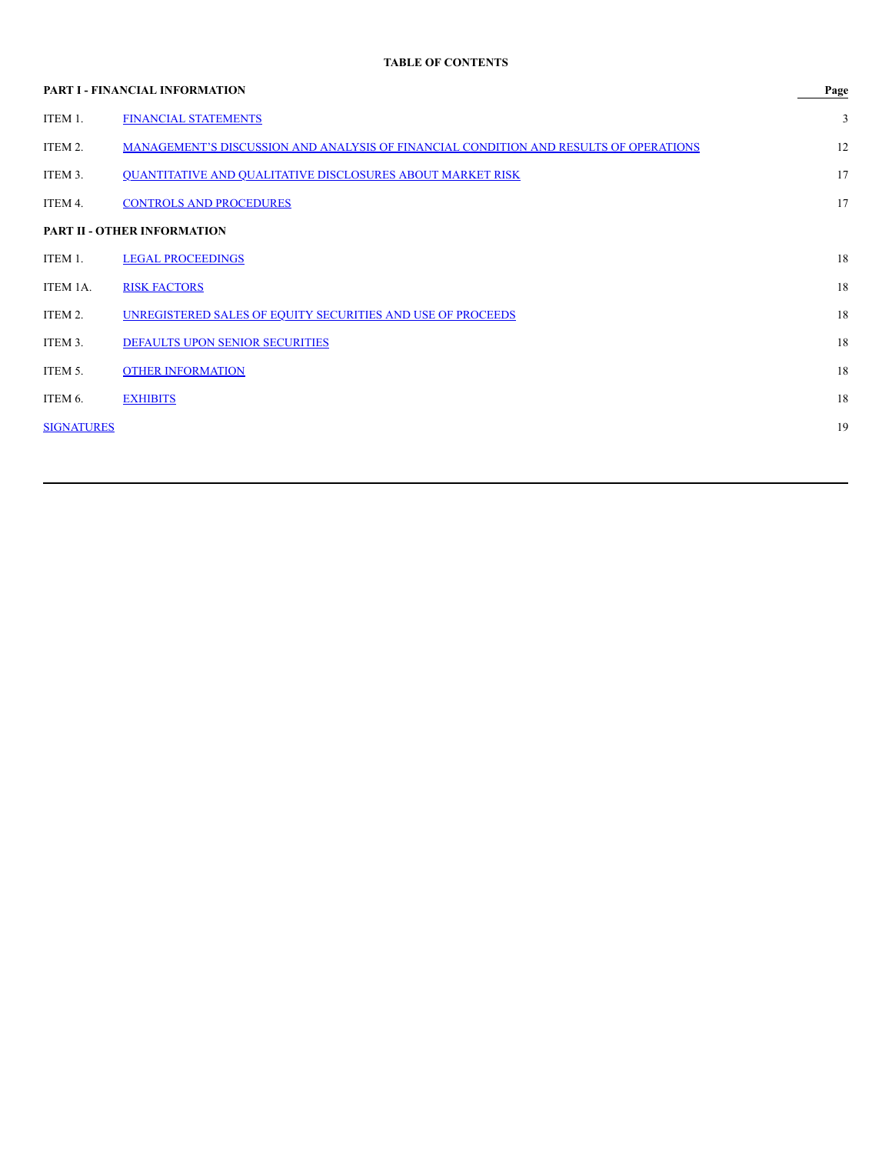# **TABLE OF CONTENTS**

<span id="page-1-0"></span>

|                   | PART I - FINANCIAL INFORMATION                                                        | Page |
|-------------------|---------------------------------------------------------------------------------------|------|
| ITEM 1.           | <b>FINANCIAL STATEMENTS</b>                                                           | 3    |
| ITEM 2.           | MANAGEMENT'S DISCUSSION AND ANALYSIS OF FINANCIAL CONDITION AND RESULTS OF OPERATIONS | 12   |
| ITEM 3.           | <b>QUANTITATIVE AND QUALITATIVE DISCLOSURES ABOUT MARKET RISK</b>                     | 17   |
| ITEM 4.           | <b>CONTROLS AND PROCEDURES</b>                                                        | 17   |
|                   | <b>PART II - OTHER INFORMATION</b>                                                    |      |
| ITEM 1.           | <b>LEGAL PROCEEDINGS</b>                                                              | 18   |
| ITEM 1A.          | <b>RISK FACTORS</b>                                                                   | 18   |
| ITEM 2.           | UNREGISTERED SALES OF EQUITY SECURITIES AND USE OF PROCEEDS                           | 18   |
| ITEM 3.           | DEFAULTS UPON SENIOR SECURITIES                                                       | 18   |
| ITEM 5.           | <b>OTHER INFORMATION</b>                                                              | 18   |
| ITEM 6.           | <b>EXHIBITS</b>                                                                       | 18   |
| <b>SIGNATURES</b> |                                                                                       | 19   |
|                   |                                                                                       |      |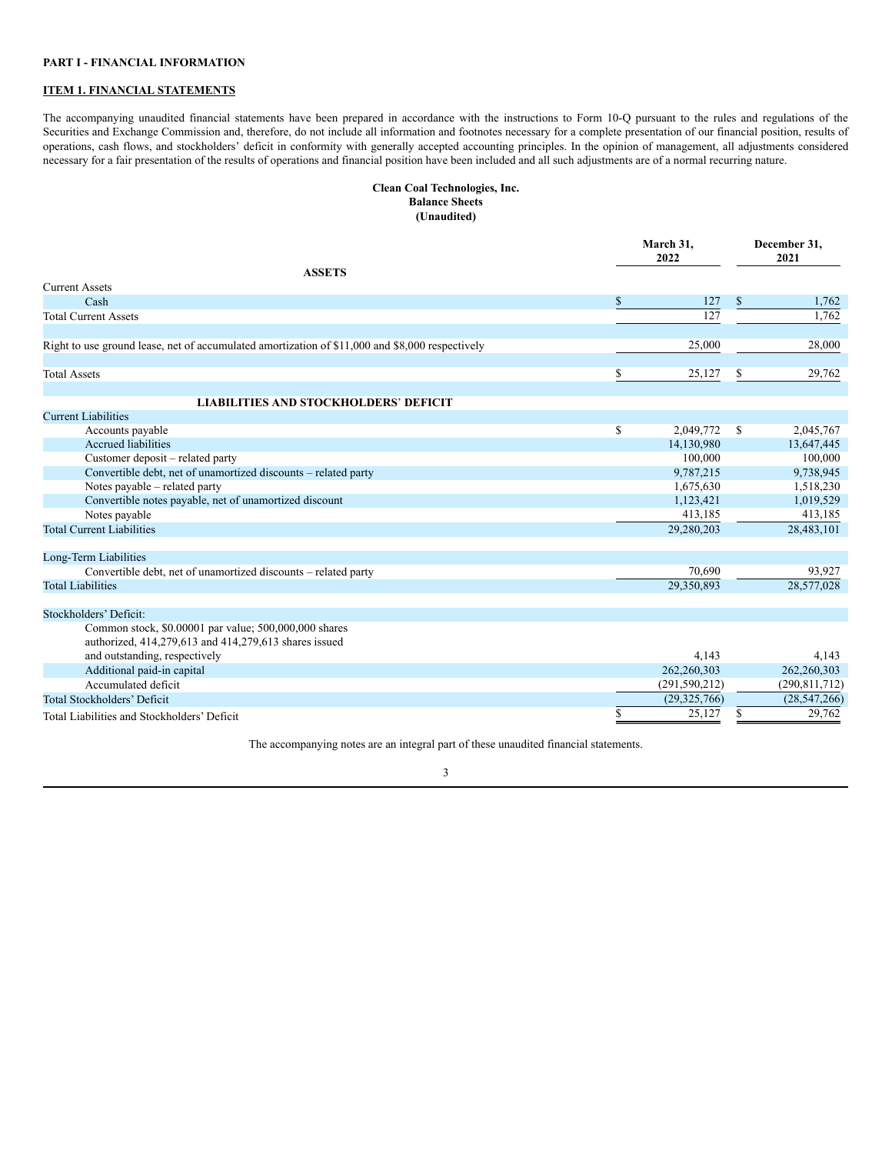# **PART I - FINANCIAL INFORMATION**

# <span id="page-2-0"></span>**ITEM 1. FINANCIAL STATEMENTS**

The accompanying unaudited financial statements have been prepared in accordance with the instructions to Form 10-Q pursuant to the rules and regulations of the Securities and Exchange Commission and, therefore, do not include all information and footnotes necessary for a complete presentation of our financial position, results of operations, cash flows, and stockholders' deficit in conformity with generally accepted accounting principles. In the opinion of management, all adjustments considered necessary for a fair presentation of the results of operations and financial position have been included and all such adjustments are of a normal recurring nature.

## **Clean Coal Technologies, Inc. Balance Sheets (Unaudited)**

|                                                                                                                | March 31,<br>2022 |    | December 31,<br>2021 |
|----------------------------------------------------------------------------------------------------------------|-------------------|----|----------------------|
| <b>ASSETS</b>                                                                                                  |                   |    |                      |
| <b>Current Assets</b>                                                                                          |                   |    |                      |
| Cash                                                                                                           | \$<br>127         | S  | 1,762                |
| <b>Total Current Assets</b>                                                                                    | 127               |    | 1.762                |
| Right to use ground lease, net of accumulated amortization of \$11,000 and \$8,000 respectively                | 25,000            |    | 28,000               |
| <b>Total Assets</b>                                                                                            | \$<br>25,127      | \$ | 29,762               |
| <b>LIABILITIES AND STOCKHOLDERS' DEFICIT</b>                                                                   |                   |    |                      |
| <b>Current Liabilities</b>                                                                                     |                   |    |                      |
| Accounts payable                                                                                               | \$<br>2,049,772   | -S | 2,045,767            |
| <b>Accrued liabilities</b>                                                                                     | 14,130,980        |    | 13,647,445           |
| Customer deposit – related party                                                                               | 100,000           |    | 100,000              |
| Convertible debt, net of unamortized discounts - related party                                                 | 9,787,215         |    | 9,738,945            |
| Notes payable - related party                                                                                  | 1,675,630         |    | 1,518,230            |
| Convertible notes payable, net of unamortized discount                                                         | 1,123,421         |    | 1,019,529            |
| Notes payable                                                                                                  | 413,185           |    | 413,185              |
| <b>Total Current Liabilities</b>                                                                               | 29,280,203        |    | 28,483,101           |
| Long-Term Liabilities                                                                                          |                   |    |                      |
| Convertible debt, net of unamortized discounts – related party                                                 | 70.690            |    | 93,927               |
| <b>Total Liabilities</b>                                                                                       | 29,350,893        |    | 28,577,028           |
| Stockholders' Deficit:                                                                                         |                   |    |                      |
| Common stock, \$0.00001 par value; 500,000,000 shares<br>authorized, 414,279,613 and 414,279,613 shares issued |                   |    |                      |
| and outstanding, respectively                                                                                  | 4,143             |    | 4,143                |
| Additional paid-in capital                                                                                     | 262,260,303       |    | 262,260,303          |
| Accumulated deficit                                                                                            | (291, 590, 212)   |    | (290, 811, 712)      |
| Total Stockholders' Deficit                                                                                    | (29, 325, 766)    |    | (28, 547, 266)       |
| Total Liabilities and Stockholders' Deficit                                                                    | \$<br>25,127      | S  | 29,762               |

The accompanying notes are an integral part of these unaudited financial statements.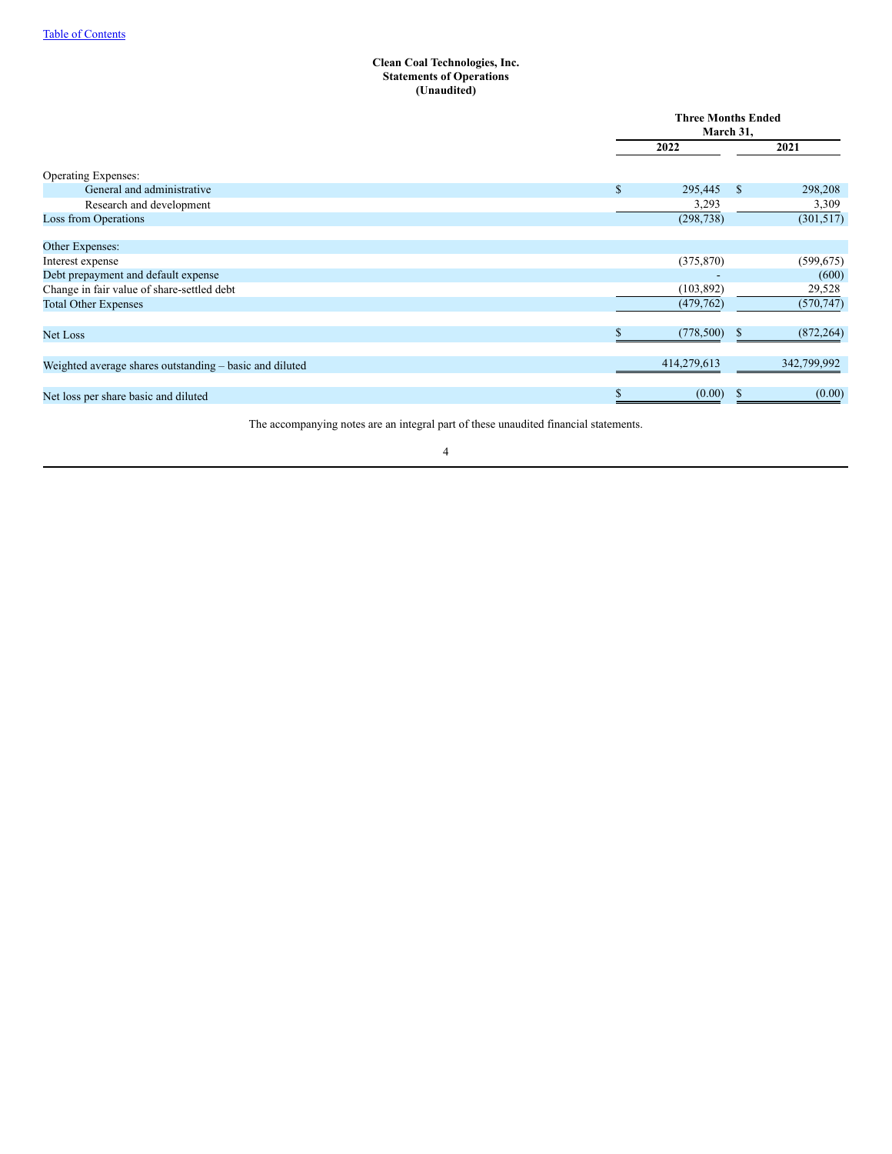#### **Clean Coal Technologies, Inc. Statements of Operations (Unaudited)**

|                                                         |             | <b>Three Months Ended</b><br>March 31, |    |             |  |
|---------------------------------------------------------|-------------|----------------------------------------|----|-------------|--|
|                                                         |             | 2022                                   |    | 2021        |  |
| Operating Expenses:                                     |             |                                        |    |             |  |
| General and administrative                              | $\mathbf S$ | 295,445                                | -S | 298,208     |  |
| Research and development                                |             | 3,293                                  |    | 3,309       |  |
| Loss from Operations                                    |             | (298, 738)                             |    | (301,517)   |  |
| Other Expenses:                                         |             |                                        |    |             |  |
| Interest expense                                        |             | (375, 870)                             |    | (599, 675)  |  |
| Debt prepayment and default expense                     |             |                                        |    | (600)       |  |
| Change in fair value of share-settled debt              |             | (103, 892)                             |    | 29,528      |  |
| <b>Total Other Expenses</b>                             |             | (479, 762)                             |    | (570, 747)  |  |
| Net Loss                                                |             | (778, 500)                             | S. | (872, 264)  |  |
| Weighted average shares outstanding – basic and diluted |             | 414,279,613                            |    | 342,799,992 |  |
| Net loss per share basic and diluted                    |             | (0.00)                                 |    | (0.00)      |  |

The accompanying notes are an integral part of these unaudited financial statements.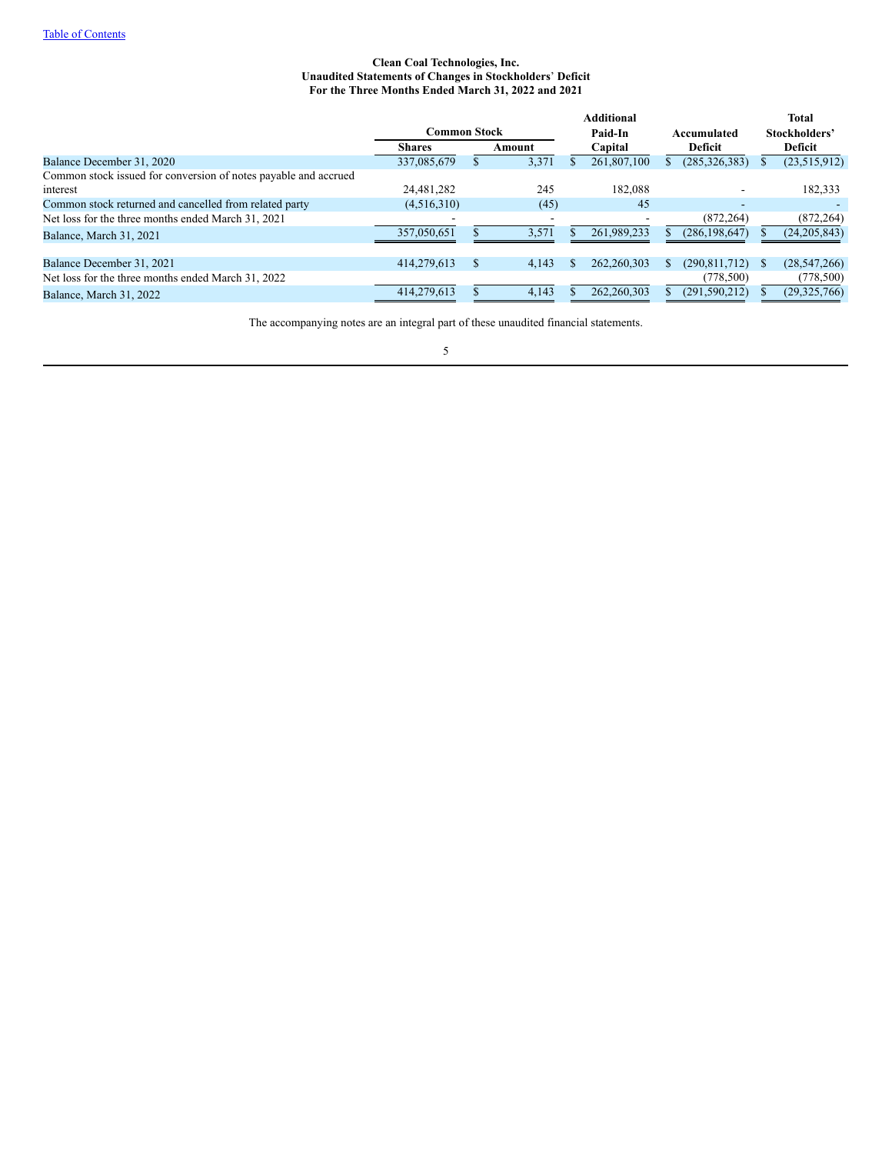## **Clean Coal Technologies, Inc. Unaudited Statements of Changes in Stockholders**' **Deficit For the Three Months Ended March 31, 2022 and 2021**

|                                                                 |                     |     |        | <b>Additional</b> |                 | <b>Total</b>   |
|-----------------------------------------------------------------|---------------------|-----|--------|-------------------|-----------------|----------------|
|                                                                 | <b>Common Stock</b> |     |        | Paid-In           | Accumulated     | Stockholders'  |
|                                                                 | <b>Shares</b>       |     | Amount | Capital           | Deficit         | Deficit        |
| Balance December 31, 2020                                       | 337,085,679         |     | 3,371  | 261,807,100       | (285, 326, 383) | (23,515,912)   |
| Common stock issued for conversion of notes payable and accrued |                     |     |        |                   |                 |                |
| interest                                                        | 24,481,282          |     | 245    | 182,088           |                 | 182,333        |
| Common stock returned and cancelled from related party          | (4,516,310)         |     | (45)   | 45                | -               |                |
| Net loss for the three months ended March 31, 2021              |                     |     |        |                   | (872, 264)      | (872, 264)     |
| Balance, March 31, 2021                                         | 357,050,651         |     | 3,571  | 261,989,233       | (286, 198, 647) | (24, 205, 843) |
| Balance December 31, 2021                                       | 414.279.613         | \$. | 4,143  | 262, 260, 303     | (290, 811, 712) | (28, 547, 266) |
| Net loss for the three months ended March 31, 2022              |                     |     |        |                   | (778, 500)      | (778, 500)     |
| Balance, March 31, 2022                                         | 414.279.613         |     | 4,143  | 262,260,303       | (291, 590, 212) | (29, 325, 766) |

The accompanying notes are an integral part of these unaudited financial statements.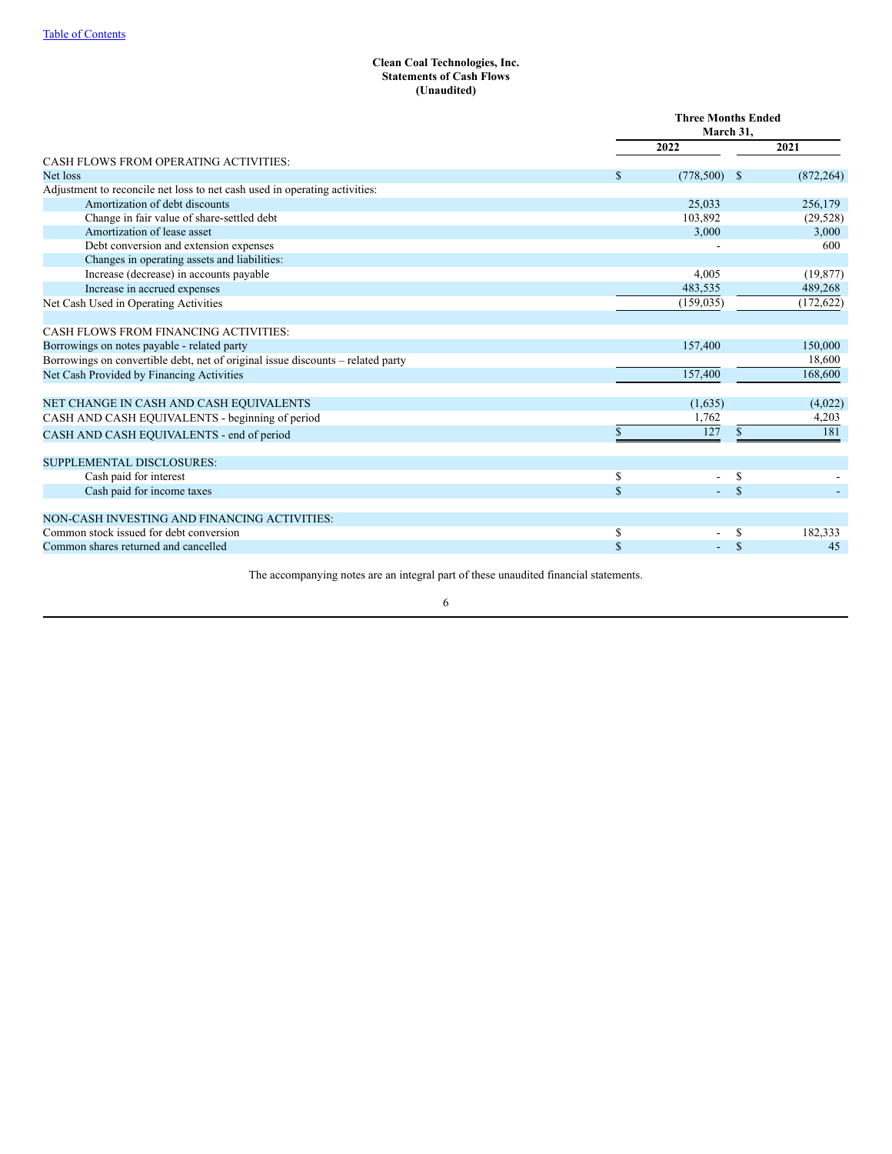#### **Clean Coal Technologies, Inc. Statements of Cash Flows (Unaudited)**

|                                                                                 |             | <b>Three Months Ended</b><br>March 31, |               |            |
|---------------------------------------------------------------------------------|-------------|----------------------------------------|---------------|------------|
|                                                                                 |             | 2022                                   |               | 2021       |
| <b>CASH FLOWS FROM OPERATING ACTIVITIES:</b>                                    |             |                                        |               |            |
| Net loss                                                                        | \$          | $(778,500)$ \$                         |               | (872, 264) |
| Adjustment to reconcile net loss to net cash used in operating activities:      |             |                                        |               |            |
| Amortization of debt discounts                                                  |             | 25,033                                 |               | 256,179    |
| Change in fair value of share-settled debt                                      |             | 103,892                                |               | (29, 528)  |
| Amortization of lease asset                                                     |             | 3,000                                  |               | 3,000      |
| Debt conversion and extension expenses                                          |             |                                        |               | 600        |
| Changes in operating assets and liabilities:                                    |             |                                        |               |            |
| Increase (decrease) in accounts payable                                         |             | 4,005                                  |               | (19, 877)  |
| Increase in accrued expenses                                                    |             | 483,535                                |               | 489,268    |
| Net Cash Used in Operating Activities                                           |             | (159, 035)                             |               | (172, 622) |
| <b>CASH FLOWS FROM FINANCING ACTIVITIES:</b>                                    |             |                                        |               |            |
| Borrowings on notes payable - related party                                     |             | 157,400                                |               | 150,000    |
| Borrowings on convertible debt, net of original issue discounts - related party |             |                                        |               | 18,600     |
| Net Cash Provided by Financing Activities                                       |             | 157,400                                |               | 168,600    |
| NET CHANGE IN CASH AND CASH EQUIVALENTS                                         |             | (1,635)                                |               | (4,022)    |
| CASH AND CASH EQUIVALENTS - beginning of period                                 |             | 1,762                                  |               | 4,203      |
| CASH AND CASH EQUIVALENTS - end of period                                       |             | 127                                    | \$            | 181        |
|                                                                                 |             |                                        |               |            |
| <b>SUPPLEMENTAL DISCLOSURES:</b>                                                |             |                                        |               |            |
| Cash paid for interest                                                          | \$          | $\overline{\phantom{0}}$               | \$            |            |
| Cash paid for income taxes                                                      | $\mathbf S$ | a.                                     | $\mathbf S$   |            |
| NON-CASH INVESTING AND FINANCING ACTIVITIES:                                    |             |                                        |               |            |
| Common stock issued for debt conversion                                         | \$          |                                        | \$            | 182,333    |
| Common shares returned and cancelled                                            | \$          | ä,                                     | <sup>\$</sup> | 45         |
|                                                                                 |             |                                        |               |            |

The accompanying notes are an integral part of these unaudited financial statements.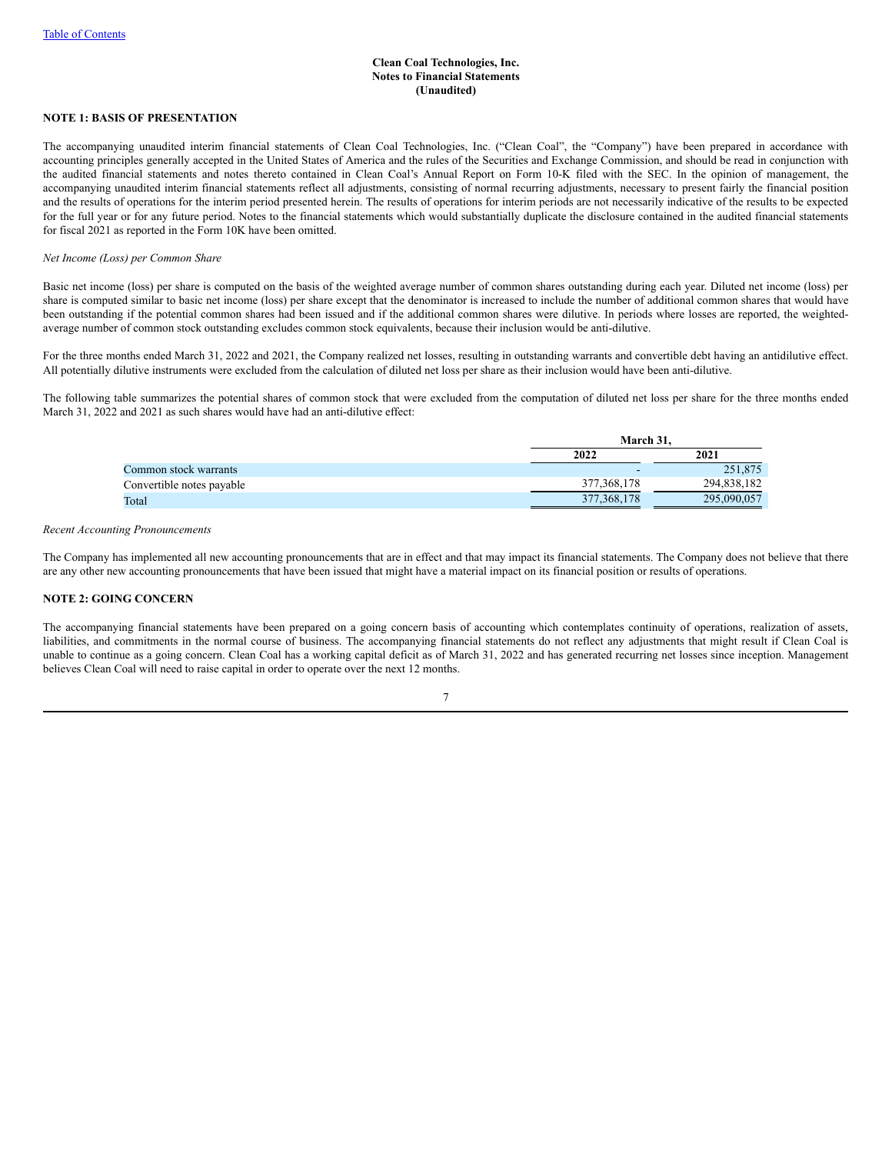## **Clean Coal Technologies, Inc. Notes to Financial Statements (Unaudited)**

## **NOTE 1: BASIS OF PRESENTATION**

The accompanying unaudited interim financial statements of Clean Coal Technologies, Inc. ("Clean Coal", the "Company") have been prepared in accordance with accounting principles generally accepted in the United States of America and the rules of the Securities and Exchange Commission, and should be read in conjunction with the audited financial statements and notes thereto contained in Clean Coal's Annual Report on Form 10-K filed with the SEC. In the opinion of management, the accompanying unaudited interim financial statements reflect all adjustments, consisting of normal recurring adjustments, necessary to present fairly the financial position and the results of operations for the interim period presented herein. The results of operations for interim periods are not necessarily indicative of the results to be expected for the full year or for any future period. Notes to the financial statements which would substantially duplicate the disclosure contained in the audited financial statements for fiscal 2021 as reported in the Form 10K have been omitted.

#### *Net Income (Loss) per Common Share*

Basic net income (loss) per share is computed on the basis of the weighted average number of common shares outstanding during each year. Diluted net income (loss) per share is computed similar to basic net income (loss) per share except that the denominator is increased to include the number of additional common shares that would have been outstanding if the potential common shares had been issued and if the additional common shares were dilutive. In periods where losses are reported, the weightedaverage number of common stock outstanding excludes common stock equivalents, because their inclusion would be anti-dilutive.

For the three months ended March 31, 2022 and 2021, the Company realized net losses, resulting in outstanding warrants and convertible debt having an antidilutive effect. All potentially dilutive instruments were excluded from the calculation of diluted net loss per share as their inclusion would have been anti-dilutive.

The following table summarizes the potential shares of common stock that were excluded from the computation of diluted net loss per share for the three months ended March 31, 2022 and 2021 as such shares would have had an anti-dilutive effect:

|                           |               | March 31.   |  |  |  |
|---------------------------|---------------|-------------|--|--|--|
|                           | 2022          | 2021        |  |  |  |
| Common stock warrants     |               | 251,875     |  |  |  |
| Convertible notes payable | 377.368.178   | 294,838,182 |  |  |  |
| Total                     | 377, 368, 178 | 295,090,057 |  |  |  |

#### *Recent Accounting Pronouncements*

The Company has implemented all new accounting pronouncements that are in effect and that may impact its financial statements. The Company does not believe that there are any other new accounting pronouncements that have been issued that might have a material impact on its financial position or results of operations.

#### **NOTE 2: GOING CONCERN**

The accompanying financial statements have been prepared on a going concern basis of accounting which contemplates continuity of operations, realization of assets, liabilities, and commitments in the normal course of business. The accompanying financial statements do not reflect any adjustments that might result if Clean Coal is unable to continue as a going concern. Clean Coal has a working capital deficit as of March 31, 2022 and has generated recurring net losses since inception. Management believes Clean Coal will need to raise capital in order to operate over the next 12 months.

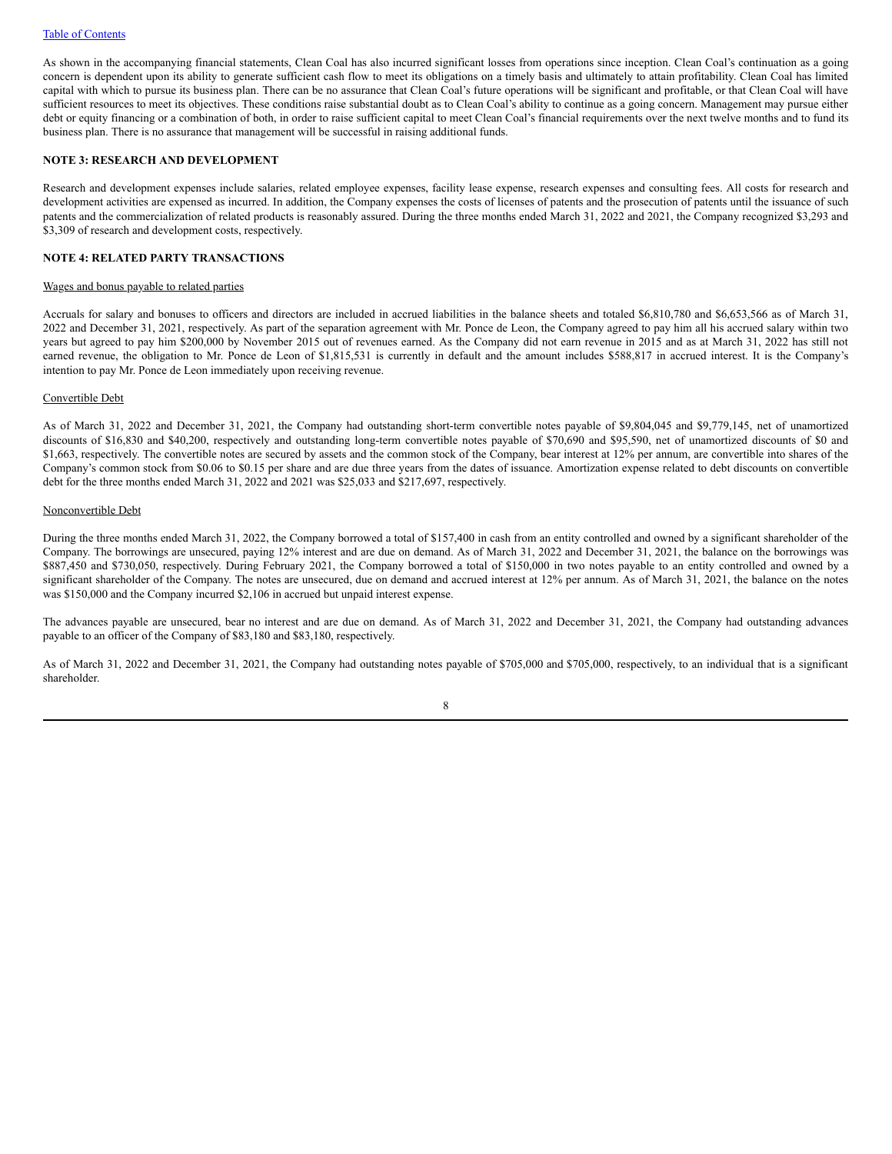As shown in the accompanying financial statements, Clean Coal has also incurred significant losses from operations since inception. Clean Coal's continuation as a going concern is dependent upon its ability to generate sufficient cash flow to meet its obligations on a timely basis and ultimately to attain profitability. Clean Coal has limited capital with which to pursue its business plan. There can be no assurance that Clean Coal's future operations will be significant and profitable, or that Clean Coal will have sufficient resources to meet its objectives. These conditions raise substantial doubt as to Clean Coal's ability to continue as a going concern. Management may pursue either debt or equity financing or a combination of both, in order to raise sufficient capital to meet Clean Coal's financial requirements over the next twelve months and to fund its business plan. There is no assurance that management will be successful in raising additional funds.

## **NOTE 3: RESEARCH AND DEVELOPMENT**

Research and development expenses include salaries, related employee expenses, facility lease expense, research expenses and consulting fees. All costs for research and development activities are expensed as incurred. In addition, the Company expenses the costs of licenses of patents and the prosecution of patents until the issuance of such patents and the commercialization of related products is reasonably assured. During the three months ended March 31, 2022 and 2021, the Company recognized \$3,293 and \$3,309 of research and development costs, respectively.

# **NOTE 4: RELATED PARTY TRANSACTIONS**

# Wages and bonus payable to related parties

Accruals for salary and bonuses to officers and directors are included in accrued liabilities in the balance sheets and totaled \$6,810,780 and \$6,653,566 as of March 31, 2022 and December 31, 2021, respectively. As part of the separation agreement with Mr. Ponce de Leon, the Company agreed to pay him all his accrued salary within two years but agreed to pay him \$200,000 by November 2015 out of revenues earned. As the Company did not earn revenue in 2015 and as at March 31, 2022 has still not earned revenue, the obligation to Mr. Ponce de Leon of \$1,815,531 is currently in default and the amount includes \$588,817 in accrued interest. It is the Company's intention to pay Mr. Ponce de Leon immediately upon receiving revenue.

#### Convertible Debt

As of March 31, 2022 and December 31, 2021, the Company had outstanding short-term convertible notes payable of \$9,804,045 and \$9,779,145, net of unamortized discounts of \$16,830 and \$40,200, respectively and outstanding long-term convertible notes payable of \$70,690 and \$95,590, net of unamortized discounts of \$0 and \$1,663, respectively. The convertible notes are secured by assets and the common stock of the Company, bear interest at 12% per annum, are convertible into shares of the Company's common stock from \$0.06 to \$0.15 per share and are due three years from the dates of issuance. Amortization expense related to debt discounts on convertible debt for the three months ended March 31, 2022 and 2021 was \$25,033 and \$217,697, respectively.

#### Nonconvertible Debt

During the three months ended March 31, 2022, the Company borrowed a total of \$157,400 in cash from an entity controlled and owned by a significant shareholder of the Company. The borrowings are unsecured, paying 12% interest and are due on demand. As of March 31, 2022 and December 31, 2021, the balance on the borrowings was \$887,450 and \$730,050, respectively. During February 2021, the Company borrowed a total of \$150,000 in two notes payable to an entity controlled and owned by a significant shareholder of the Company. The notes are unsecured, due on demand and accrued interest at 12% per annum. As of March 31, 2021, the balance on the notes was \$150,000 and the Company incurred \$2,106 in accrued but unpaid interest expense.

The advances payable are unsecured, bear no interest and are due on demand. As of March 31, 2022 and December 31, 2021, the Company had outstanding advances payable to an officer of the Company of \$83,180 and \$83,180, respectively.

As of March 31, 2022 and December 31, 2021, the Company had outstanding notes payable of \$705,000 and \$705,000, respectively, to an individual that is a significant shareholder.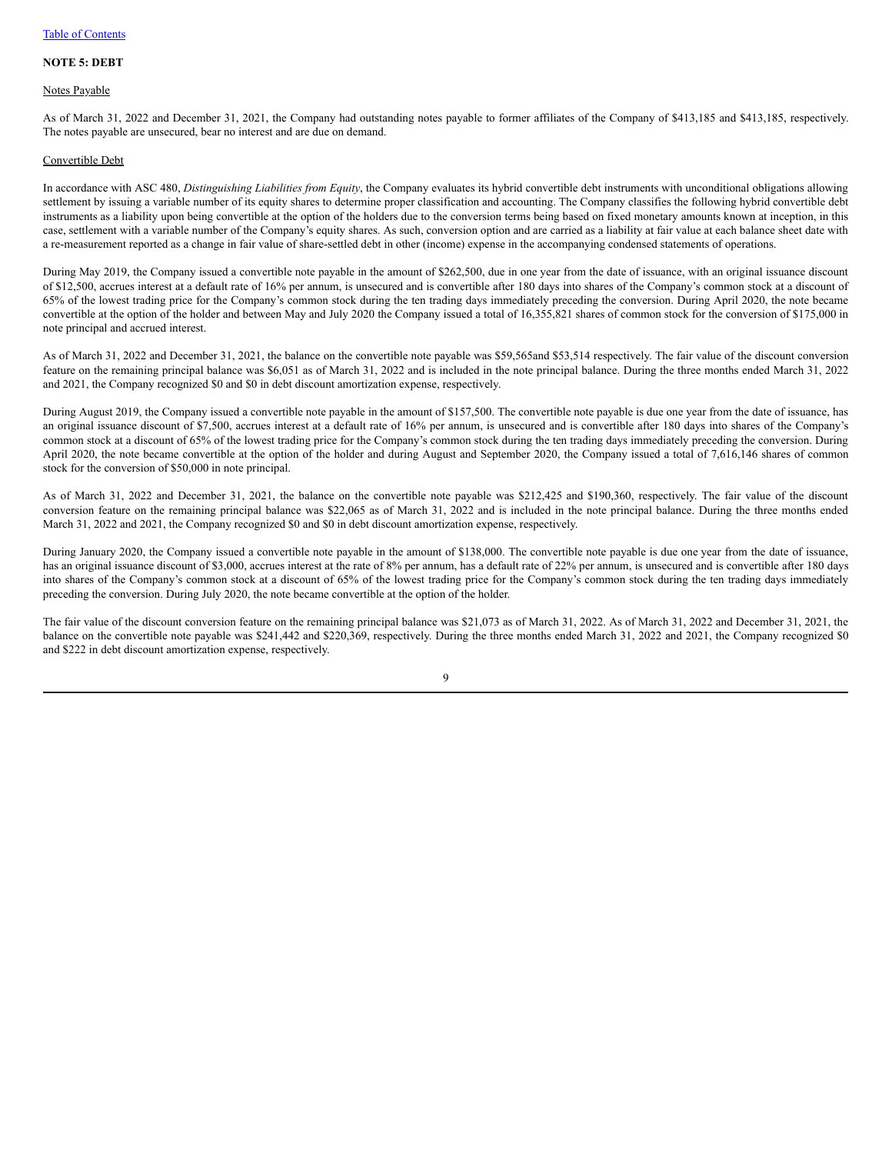# **NOTE 5: DEBT**

# Notes Payable

As of March 31, 2022 and December 31, 2021, the Company had outstanding notes payable to former affiliates of the Company of \$413,185 and \$413,185, respectively. The notes payable are unsecured, bear no interest and are due on demand.

## Convertible Debt

In accordance with ASC 480, *Distinguishing Liabilities from Equity*, the Company evaluates its hybrid convertible debt instruments with unconditional obligations allowing settlement by issuing a variable number of its equity shares to determine proper classification and accounting. The Company classifies the following hybrid convertible debt instruments as a liability upon being convertible at the option of the holders due to the conversion terms being based on fixed monetary amounts known at inception, in this case, settlement with a variable number of the Company's equity shares. As such, conversion option and are carried as a liability at fair value at each balance sheet date with a re-measurement reported as a change in fair value of share-settled debt in other (income) expense in the accompanying condensed statements of operations.

During May 2019, the Company issued a convertible note payable in the amount of \$262,500, due in one year from the date of issuance, with an original issuance discount of \$12,500, accrues interest at a default rate of 16% per annum, is unsecured and is convertible after 180 days into shares of the Company's common stock at a discount of 65% of the lowest trading price for the Company's common stock during the ten trading days immediately preceding the conversion. During April 2020, the note became convertible at the option of the holder and between May and July 2020 the Company issued a total of 16,355,821 shares of common stock for the conversion of \$175,000 in note principal and accrued interest.

As of March 31, 2022 and December 31, 2021, the balance on the convertible note payable was \$59,565and \$53,514 respectively. The fair value of the discount conversion feature on the remaining principal balance was \$6,051 as of March 31, 2022 and is included in the note principal balance. During the three months ended March 31, 2022 and 2021, the Company recognized \$0 and \$0 in debt discount amortization expense, respectively.

During August 2019, the Company issued a convertible note payable in the amount of \$157,500. The convertible note payable is due one year from the date of issuance, has an original issuance discount of \$7,500, accrues interest at a default rate of 16% per annum, is unsecured and is convertible after 180 days into shares of the Company's common stock at a discount of 65% of the lowest trading price for the Company's common stock during the ten trading days immediately preceding the conversion. During April 2020, the note became convertible at the option of the holder and during August and September 2020, the Company issued a total of 7,616,146 shares of common stock for the conversion of \$50,000 in note principal.

As of March 31, 2022 and December 31, 2021, the balance on the convertible note payable was \$212,425 and \$190,360, respectively. The fair value of the discount conversion feature on the remaining principal balance was \$22,065 as of March 31, 2022 and is included in the note principal balance. During the three months ended March 31, 2022 and 2021, the Company recognized \$0 and \$0 in debt discount amortization expense, respectively.

During January 2020, the Company issued a convertible note payable in the amount of \$138,000. The convertible note payable is due one year from the date of issuance, has an original issuance discount of \$3,000, accrues interest at the rate of 8% per annum, has a default rate of 22% per annum, is unsecured and is convertible after 180 days into shares of the Company's common stock at a discount of 65% of the lowest trading price for the Company's common stock during the ten trading days immediately preceding the conversion. During July 2020, the note became convertible at the option of the holder.

The fair value of the discount conversion feature on the remaining principal balance was \$21,073 as of March 31, 2022. As of March 31, 2022 and December 31, 2021, the balance on the convertible note payable was \$241,442 and \$220,369, respectively. During the three months ended March 31, 2022 and 2021, the Company recognized \$0 and \$222 in debt discount amortization expense, respectively.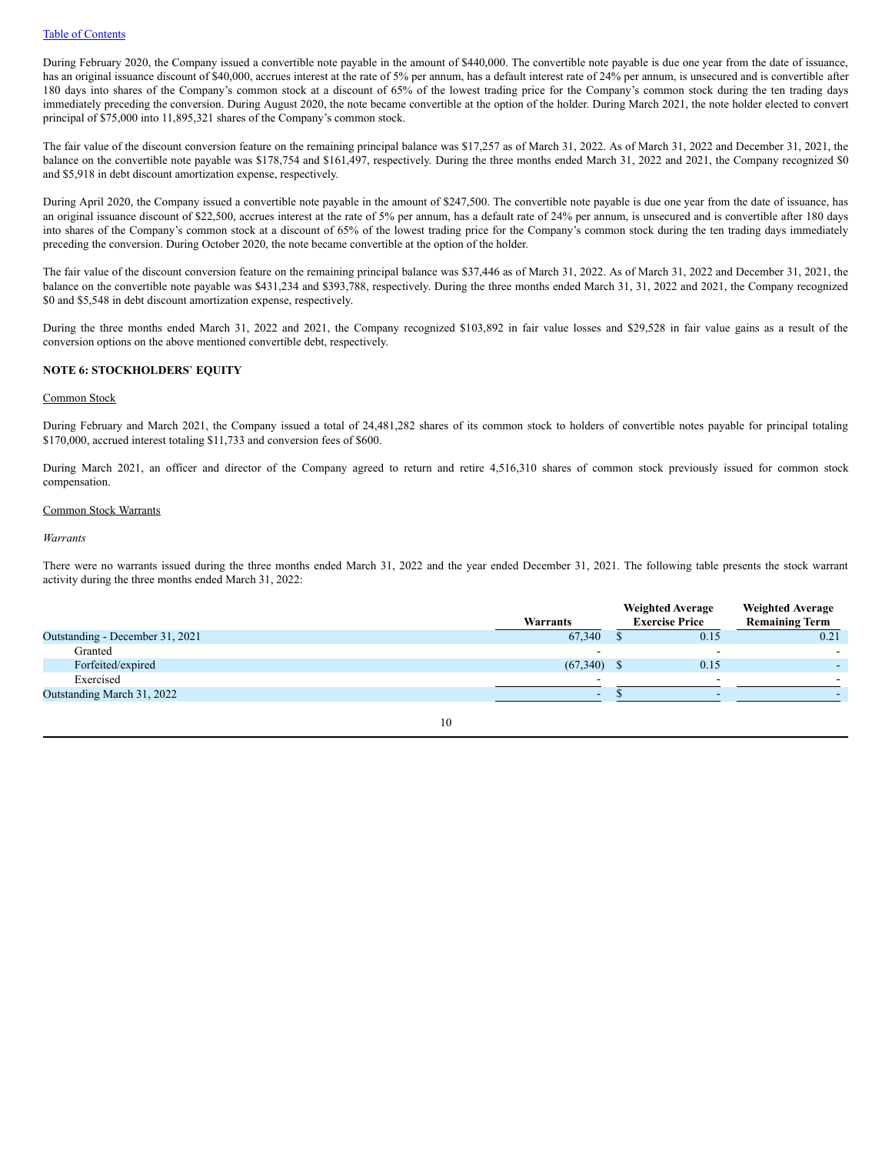During February 2020, the Company issued a convertible note payable in the amount of \$440,000. The convertible note payable is due one year from the date of issuance, has an original issuance discount of \$40,000, accrues interest at the rate of 5% per annum, has a default interest rate of 24% per annum, is unsecured and is convertible after 180 days into shares of the Company's common stock at a discount of 65% of the lowest trading price for the Company's common stock during the ten trading days immediately preceding the conversion. During August 2020, the note became convertible at the option of the holder. During March 2021, the note holder elected to convert principal of \$75,000 into 11,895,321 shares of the Company's common stock.

The fair value of the discount conversion feature on the remaining principal balance was \$17,257 as of March 31, 2022. As of March 31, 2022 and December 31, 2021, the balance on the convertible note payable was \$178,754 and \$161,497, respectively. During the three months ended March 31, 2022 and 2021, the Company recognized \$0 and \$5,918 in debt discount amortization expense, respectively.

During April 2020, the Company issued a convertible note payable in the amount of \$247,500. The convertible note payable is due one year from the date of issuance, has an original issuance discount of \$22,500, accrues interest at the rate of 5% per annum, has a default rate of 24% per annum, is unsecured and is convertible after 180 days into shares of the Company's common stock at a discount of 65% of the lowest trading price for the Company's common stock during the ten trading days immediately preceding the conversion. During October 2020, the note became convertible at the option of the holder.

The fair value of the discount conversion feature on the remaining principal balance was \$37,446 as of March 31, 2022. As of March 31, 2022 and December 31, 2021, the balance on the convertible note payable was \$431,234 and \$393,788, respectively. During the three months ended March 31, 31, 2022 and 2021, the Company recognized \$0 and \$5,548 in debt discount amortization expense, respectively.

During the three months ended March 31, 2022 and 2021, the Company recognized \$103,892 in fair value losses and \$29,528 in fair value gains as a result of the conversion options on the above mentioned convertible debt, respectively.

# **NOTE 6: STOCKHOLDERS**' **EQUITY**

### Common Stock

During February and March 2021, the Company issued a total of 24,481,282 shares of its common stock to holders of convertible notes payable for principal totaling \$170,000, accrued interest totaling \$11,733 and conversion fees of \$600.

During March 2021, an officer and director of the Company agreed to return and retire 4,516,310 shares of common stock previously issued for common stock compensation.

# Common Stock Warrants

## *Warrants*

There were no warrants issued during the three months ended March 31, 2022 and the year ended December 31, 2021. The following table presents the stock warrant activity during the three months ended March 31, 2022:

|                                 | <b>Warrants</b> | <b>Weighted Average</b><br><b>Exercise Price</b> |      | <b>Weighted Average</b><br><b>Remaining Term</b> |
|---------------------------------|-----------------|--------------------------------------------------|------|--------------------------------------------------|
| Outstanding - December 31, 2021 | 67,340          |                                                  | 0.15 | 0.21                                             |
| Granted                         |                 |                                                  |      |                                                  |
| Forfeited/expired               | $(67,340)$ \$   |                                                  | 0.15 |                                                  |
| Exercised                       |                 |                                                  |      |                                                  |
| Outstanding March 31, 2022      |                 |                                                  |      |                                                  |
|                                 |                 |                                                  |      |                                                  |

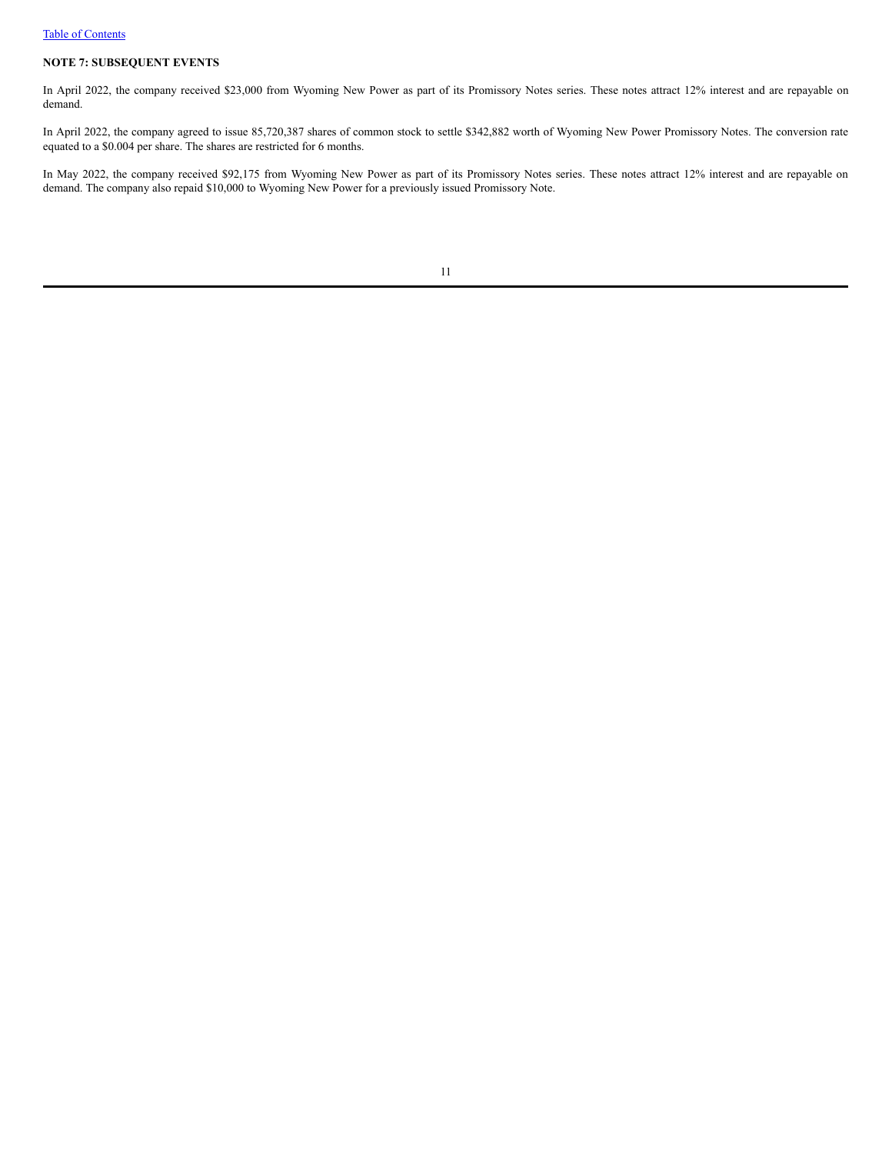# **NOTE 7: SUBSEQUENT EVENTS**

In April 2022, the company received \$23,000 from Wyoming New Power as part of its Promissory Notes series. These notes attract 12% interest and are repayable on demand.

In April 2022, the company agreed to issue 85,720,387 shares of common stock to settle \$342,882 worth of Wyoming New Power Promissory Notes. The conversion rate equated to a \$0.004 per share. The shares are restricted for 6 months.

In May 2022, the company received \$92,175 from Wyoming New Power as part of its Promissory Notes series. These notes attract 12% interest and are repayable on demand. The company also repaid \$10,000 to Wyoming New Power for a previously issued Promissory Note.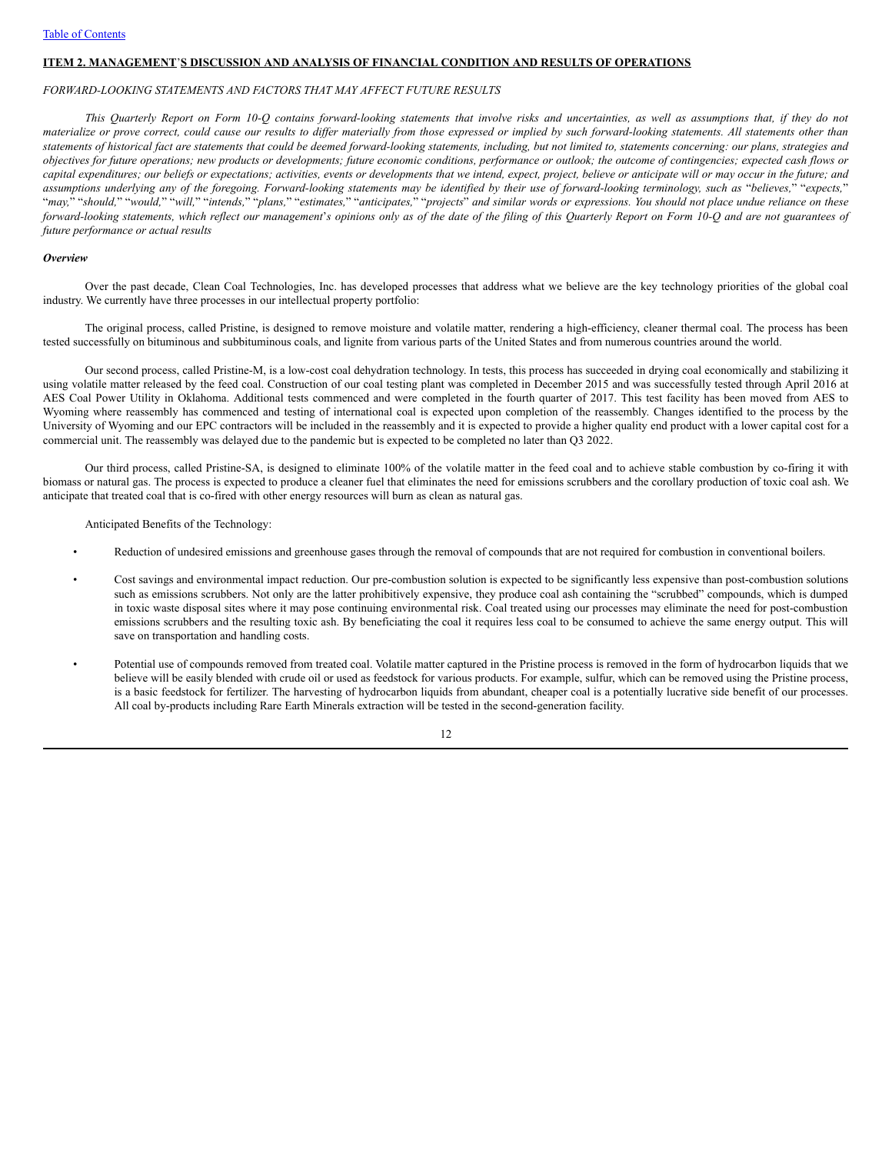#### <span id="page-11-0"></span>**ITEM 2. MANAGEMENT**'**S DISCUSSION AND ANALYSIS OF FINANCIAL CONDITION AND RESULTS OF OPERATIONS**

# *FORWARD-LOOKING STATEMENTS AND FACTORS THAT MAY AFFECT FUTURE RESULTS*

This Quarterly Report on Form 10-Q contains forward-looking statements that involve risks and uncertainties, as well as assumptions that, if they do not materialize or prove correct, could cause our results to differ materially from those expressed or implied by such forward-looking statements. All statements other than statements of historical fact are statements that could be deemed forward-looking statements, including, but not limited to, statements concerning: our plans, strategies and objectives for future operations; new products or developments; future economic conditions, performance or outlook; the outcome of contingencies; expected cash flows or capital expenditures; our beliefs or expectations; activities, events or developments that we intend, expect, project, believe or anticipate will or may occur in the future; and assumptions underlying any of the foregoing. Forward-looking statements may be identified by their use of forward-looking terminology, such as "believes," "expects," "may," "should," "would," "will," "intends," "plans," "estimates," "anticipates," "projects" and similar words or expressions. You should not place undue reliance on these forward-looking statements, which reflect our management's opinions only as of the date of the filing of this Quarterly Report on Form 10-Q and are not guarantees of *future performance or actual results*

#### *Overview*

Over the past decade, Clean Coal Technologies, Inc. has developed processes that address what we believe are the key technology priorities of the global coal industry. We currently have three processes in our intellectual property portfolio:

The original process, called Pristine, is designed to remove moisture and volatile matter, rendering a high-efficiency, cleaner thermal coal. The process has been tested successfully on bituminous and subbituminous coals, and lignite from various parts of the United States and from numerous countries around the world.

Our second process, called Pristine-M, is a low-cost coal dehydration technology. In tests, this process has succeeded in drying coal economically and stabilizing it using volatile matter released by the feed coal. Construction of our coal testing plant was completed in December 2015 and was successfully tested through April 2016 at AES Coal Power Utility in Oklahoma. Additional tests commenced and were completed in the fourth quarter of 2017. This test facility has been moved from AES to Wyoming where reassembly has commenced and testing of international coal is expected upon completion of the reassembly. Changes identified to the process by the University of Wyoming and our EPC contractors will be included in the reassembly and it is expected to provide a higher quality end product with a lower capital cost for a commercial unit. The reassembly was delayed due to the pandemic but is expected to be completed no later than Q3 2022.

Our third process, called Pristine-SA, is designed to eliminate 100% of the volatile matter in the feed coal and to achieve stable combustion by co-firing it with biomass or natural gas. The process is expected to produce a cleaner fuel that eliminates the need for emissions scrubbers and the corollary production of toxic coal ash. We anticipate that treated coal that is co-fired with other energy resources will burn as clean as natural gas.

Anticipated Benefits of the Technology:

- Reduction of undesired emissions and greenhouse gases through the removal of compounds that are not required for combustion in conventional boilers.
- Cost savings and environmental impact reduction. Our pre-combustion solution is expected to be significantly less expensive than post-combustion solutions such as emissions scrubbers. Not only are the latter prohibitively expensive, they produce coal ash containing the "scrubbed" compounds, which is dumped in toxic waste disposal sites where it may pose continuing environmental risk. Coal treated using our processes may eliminate the need for post-combustion emissions scrubbers and the resulting toxic ash. By beneficiating the coal it requires less coal to be consumed to achieve the same energy output. This will save on transportation and handling costs.
- Potential use of compounds removed from treated coal. Volatile matter captured in the Pristine process is removed in the form of hydrocarbon liquids that we believe will be easily blended with crude oil or used as feedstock for various products. For example, sulfur, which can be removed using the Pristine process, is a basic feedstock for fertilizer. The harvesting of hydrocarbon liquids from abundant, cheaper coal is a potentially lucrative side benefit of our processes. All coal by-products including Rare Earth Minerals extraction will be tested in the second-generation facility.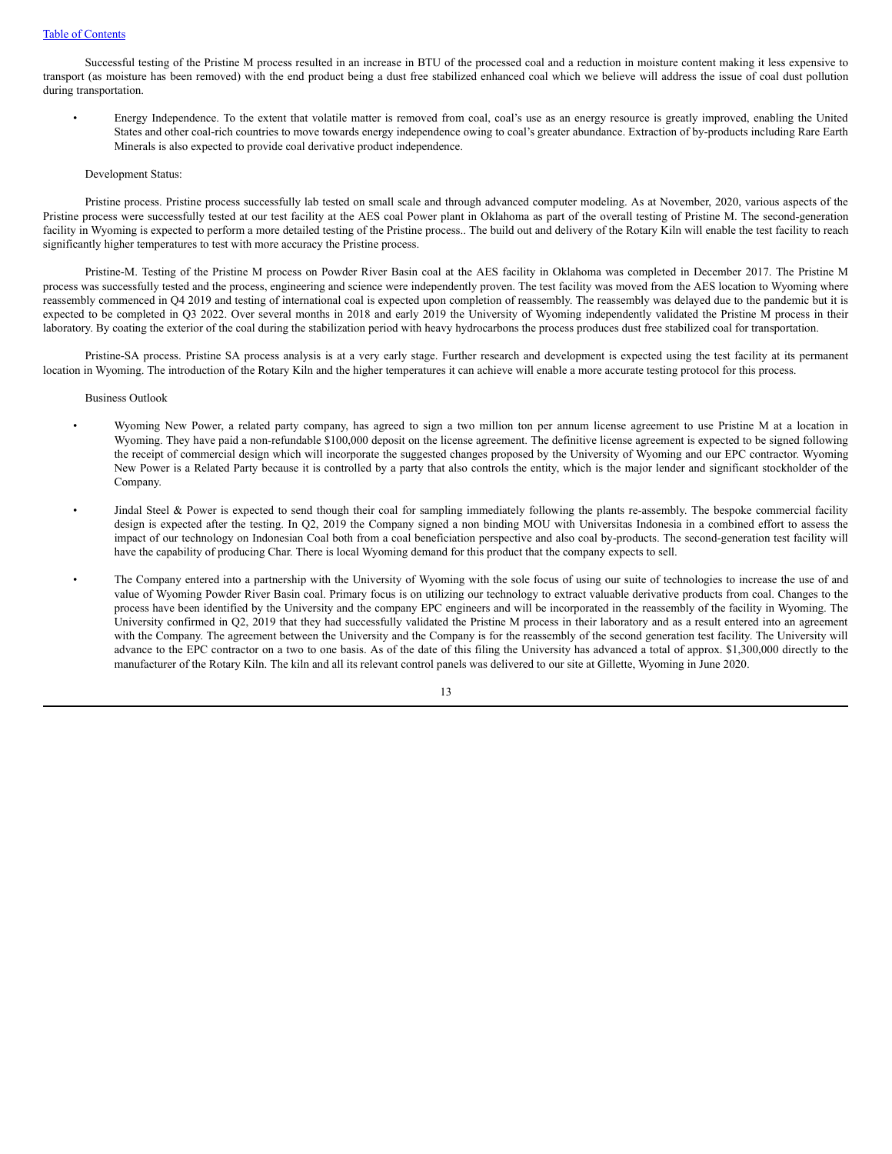Successful testing of the Pristine M process resulted in an increase in BTU of the processed coal and a reduction in moisture content making it less expensive to transport (as moisture has been removed) with the end product being a dust free stabilized enhanced coal which we believe will address the issue of coal dust pollution during transportation.

• Energy Independence. To the extent that volatile matter is removed from coal, coal's use as an energy resource is greatly improved, enabling the United States and other coal-rich countries to move towards energy independence owing to coal's greater abundance. Extraction of by-products including Rare Earth Minerals is also expected to provide coal derivative product independence.

## Development Status:

Pristine process. Pristine process successfully lab tested on small scale and through advanced computer modeling. As at November, 2020, various aspects of the Pristine process were successfully tested at our test facility at the AES coal Power plant in Oklahoma as part of the overall testing of Pristine M. The second-generation facility in Wyoming is expected to perform a more detailed testing of the Pristine process.. The build out and delivery of the Rotary Kiln will enable the test facility to reach significantly higher temperatures to test with more accuracy the Pristine process.

Pristine-M. Testing of the Pristine M process on Powder River Basin coal at the AES facility in Oklahoma was completed in December 2017. The Pristine M process was successfully tested and the process, engineering and science were independently proven. The test facility was moved from the AES location to Wyoming where reassembly commenced in Q4 2019 and testing of international coal is expected upon completion of reassembly. The reassembly was delayed due to the pandemic but it is expected to be completed in Q3 2022. Over several months in 2018 and early 2019 the University of Wyoming independently validated the Pristine M process in their laboratory. By coating the exterior of the coal during the stabilization period with heavy hydrocarbons the process produces dust free stabilized coal for transportation.

Pristine-SA process. Pristine SA process analysis is at a very early stage. Further research and development is expected using the test facility at its permanent location in Wyoming. The introduction of the Rotary Kiln and the higher temperatures it can achieve will enable a more accurate testing protocol for this process.

#### Business Outlook

- Wyoming New Power, a related party company, has agreed to sign a two million ton per annum license agreement to use Pristine M at a location in Wyoming. They have paid a non-refundable \$100,000 deposit on the license agreement. The definitive license agreement is expected to be signed following the receipt of commercial design which will incorporate the suggested changes proposed by the University of Wyoming and our EPC contractor. Wyoming New Power is a Related Party because it is controlled by a party that also controls the entity, which is the major lender and significant stockholder of the Company.
- Jindal Steel & Power is expected to send though their coal for sampling immediately following the plants re-assembly. The bespoke commercial facility design is expected after the testing. In Q2, 2019 the Company signed a non binding MOU with Universitas Indonesia in a combined effort to assess the impact of our technology on Indonesian Coal both from a coal beneficiation perspective and also coal by-products. The second-generation test facility will have the capability of producing Char. There is local Wyoming demand for this product that the company expects to sell.
- The Company entered into a partnership with the University of Wyoming with the sole focus of using our suite of technologies to increase the use of and value of Wyoming Powder River Basin coal. Primary focus is on utilizing our technology to extract valuable derivative products from coal. Changes to the process have been identified by the University and the company EPC engineers and will be incorporated in the reassembly of the facility in Wyoming. The University confirmed in Q2, 2019 that they had successfully validated the Pristine M process in their laboratory and as a result entered into an agreement with the Company. The agreement between the University and the Company is for the reassembly of the second generation test facility. The University will advance to the EPC contractor on a two to one basis. As of the date of this filing the University has advanced a total of approx. \$1,300,000 directly to the manufacturer of the Rotary Kiln. The kiln and all its relevant control panels was delivered to our site at Gillette, Wyoming in June 2020.

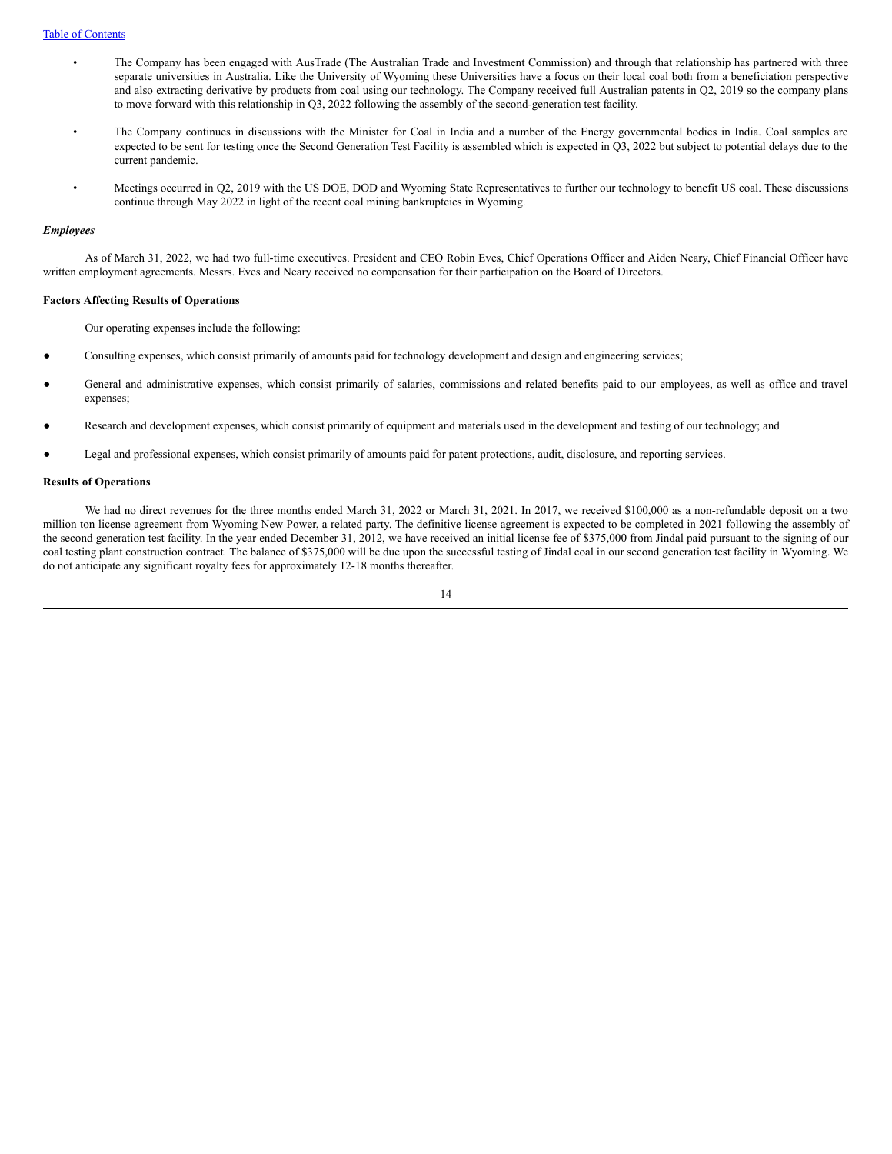- The Company has been engaged with AusTrade (The Australian Trade and Investment Commission) and through that relationship has partnered with three separate universities in Australia. Like the University of Wyoming these Universities have a focus on their local coal both from a beneficiation perspective and also extracting derivative by products from coal using our technology. The Company received full Australian patents in Q2, 2019 so the company plans to move forward with this relationship in Q3, 2022 following the assembly of the second-generation test facility.
- The Company continues in discussions with the Minister for Coal in India and a number of the Energy governmental bodies in India. Coal samples are expected to be sent for testing once the Second Generation Test Facility is assembled which is expected in Q3, 2022 but subject to potential delays due to the current pandemic.
- Meetings occurred in Q2, 2019 with the US DOE, DOD and Wyoming State Representatives to further our technology to benefit US coal. These discussions continue through May 2022 in light of the recent coal mining bankruptcies in Wyoming.

#### *Employees*

As of March 31, 2022, we had two full-time executives. President and CEO Robin Eves, Chief Operations Officer and Aiden Neary, Chief Financial Officer have written employment agreements. Messrs. Eves and Neary received no compensation for their participation on the Board of Directors.

#### **Factors Affecting Results of Operations**

Our operating expenses include the following:

- Consulting expenses, which consist primarily of amounts paid for technology development and design and engineering services;
- General and administrative expenses, which consist primarily of salaries, commissions and related benefits paid to our employees, as well as office and travel expenses;
- Research and development expenses, which consist primarily of equipment and materials used in the development and testing of our technology; and
- Legal and professional expenses, which consist primarily of amounts paid for patent protections, audit, disclosure, and reporting services.

## **Results of Operations**

We had no direct revenues for the three months ended March 31, 2022 or March 31, 2021. In 2017, we received \$100,000 as a non-refundable deposit on a two million ton license agreement from Wyoming New Power, a related party. The definitive license agreement is expected to be completed in 2021 following the assembly of the second generation test facility. In the year ended December 31, 2012, we have received an initial license fee of \$375,000 from Jindal paid pursuant to the signing of our coal testing plant construction contract. The balance of \$375,000 will be due upon the successful testing of Jindal coal in our second generation test facility in Wyoming. We do not anticipate any significant royalty fees for approximately 12-18 months thereafter.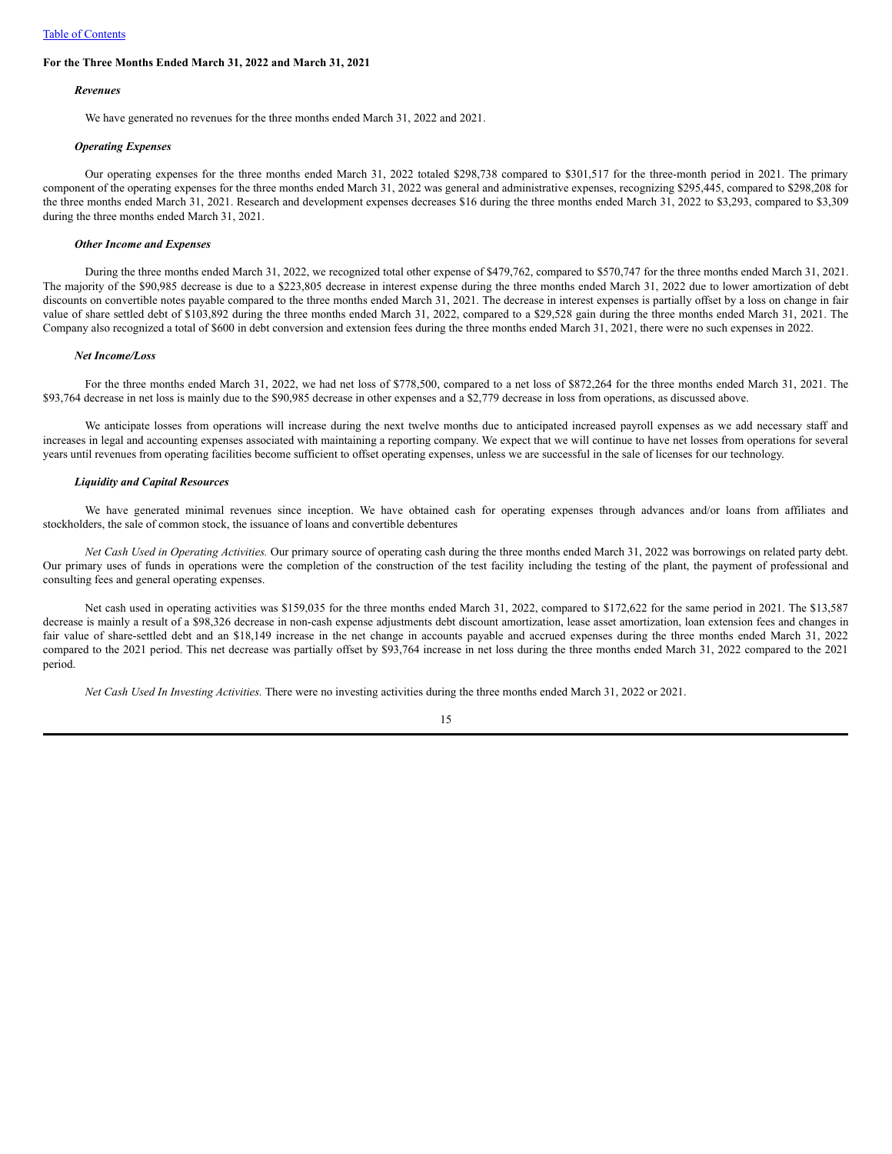# **For the Three Months Ended March 31, 2022 and March 31, 2021**

#### *Revenues*

We have generated no revenues for the three months ended March 31, 2022 and 2021.

#### *Operating Expenses*

Our operating expenses for the three months ended March 31, 2022 totaled \$298,738 compared to \$301,517 for the three-month period in 2021. The primary component of the operating expenses for the three months ended March 31, 2022 was general and administrative expenses, recognizing \$295,445, compared to \$298,208 for the three months ended March 31, 2021. Research and development expenses decreases \$16 during the three months ended March 31, 2022 to \$3,293, compared to \$3,309 during the three months ended March 31, 2021.

#### *Other Income and Expenses*

During the three months ended March 31, 2022, we recognized total other expense of \$479,762, compared to \$570,747 for the three months ended March 31, 2021. The majority of the \$90,985 decrease is due to a \$223,805 decrease in interest expense during the three months ended March 31, 2022 due to lower amortization of debt discounts on convertible notes payable compared to the three months ended March 31, 2021. The decrease in interest expenses is partially offset by a loss on change in fair value of share settled debt of \$103,892 during the three months ended March 31, 2022, compared to a \$29,528 gain during the three months ended March 31, 2021. The Company also recognized a total of \$600 in debt conversion and extension fees during the three months ended March 31, 2021, there were no such expenses in 2022.

#### *Net Income/Loss*

For the three months ended March 31, 2022, we had net loss of \$778,500, compared to a net loss of \$872,264 for the three months ended March 31, 2021. The \$93,764 decrease in net loss is mainly due to the \$90,985 decrease in other expenses and a \$2,779 decrease in loss from operations, as discussed above.

We anticipate losses from operations will increase during the next twelve months due to anticipated increased payroll expenses as we add necessary staff and increases in legal and accounting expenses associated with maintaining a reporting company. We expect that we will continue to have net losses from operations for several years until revenues from operating facilities become sufficient to offset operating expenses, unless we are successful in the sale of licenses for our technology.

#### *Liquidity and Capital Resources*

We have generated minimal revenues since inception. We have obtained cash for operating expenses through advances and/or loans from affiliates and stockholders, the sale of common stock, the issuance of loans and convertible debentures

*Net Cash Used in Operating Activities.* Our primary source of operating cash during the three months ended March 31, 2022 was borrowings on related party debt. Our primary uses of funds in operations were the completion of the construction of the test facility including the testing of the plant, the payment of professional and consulting fees and general operating expenses.

Net cash used in operating activities was \$159,035 for the three months ended March 31, 2022, compared to \$172,622 for the same period in 2021. The \$13,587 decrease is mainly a result of a \$98,326 decrease in non-cash expense adjustments debt discount amortization, lease asset amortization, loan extension fees and changes in fair value of share-settled debt and an \$18,149 increase in the net change in accounts payable and accrued expenses during the three months ended March 31, 2022 compared to the 2021 period. This net decrease was partially offset by \$93,764 increase in net loss during the three months ended March 31, 2022 compared to the 2021 period.

*Net Cash Used In Investing Activities.* There were no investing activities during the three months ended March 31, 2022 or 2021.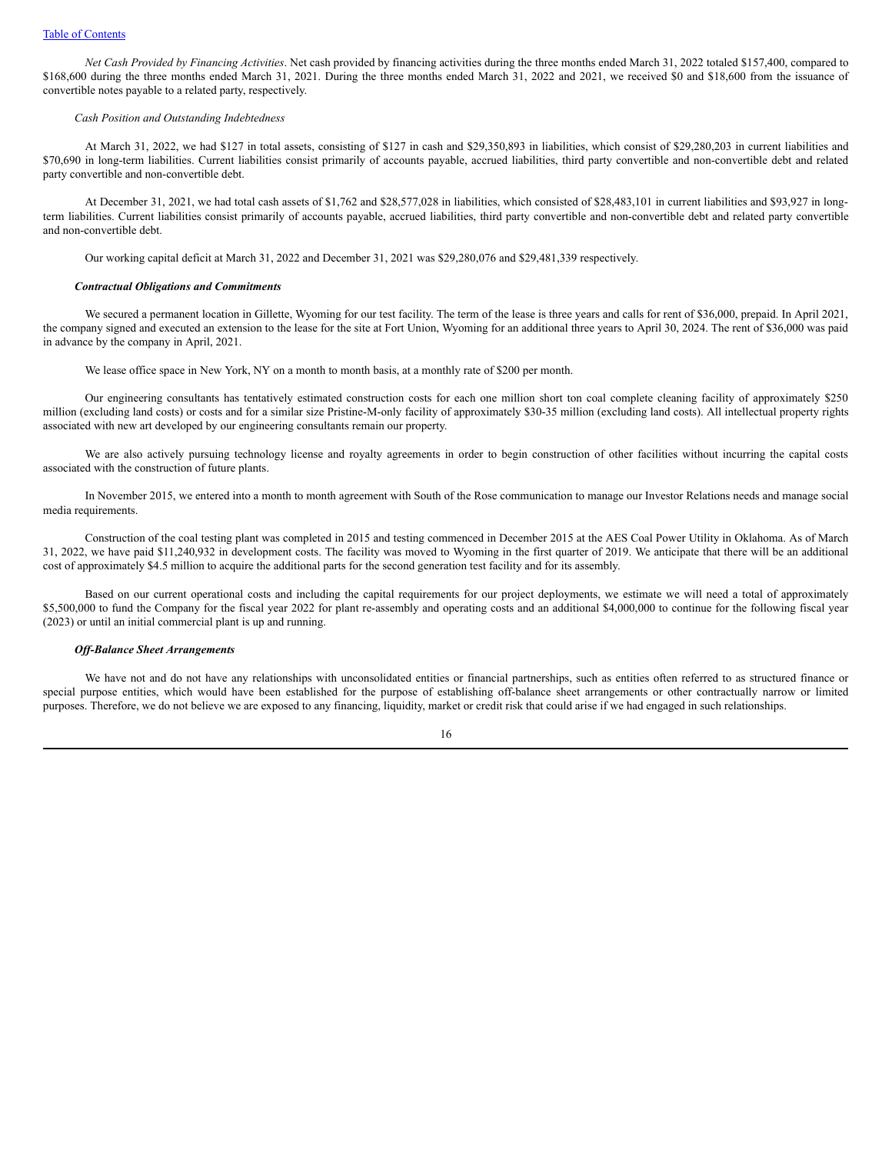*Net Cash Provided by Financing Activities*. Net cash provided by financing activities during the three months ended March 31, 2022 totaled \$157,400, compared to \$168,600 during the three months ended March 31, 2021. During the three months ended March 31, 2022 and 2021, we received \$0 and \$18,600 from the issuance of convertible notes payable to a related party, respectively.

## *Cash Position and Outstanding Indebtedness*

At March 31, 2022, we had \$127 in total assets, consisting of \$127 in cash and \$29,350,893 in liabilities, which consist of \$29,280,203 in current liabilities and \$70,690 in long-term liabilities. Current liabilities consist primarily of accounts payable, accrued liabilities, third party convertible and non-convertible debt and related party convertible and non-convertible debt.

At December 31, 2021, we had total cash assets of \$1,762 and \$28,577,028 in liabilities, which consisted of \$28,483,101 in current liabilities and \$93,927 in longterm liabilities. Current liabilities consist primarily of accounts payable, accrued liabilities, third party convertible and non-convertible debt and related party convertible and non-convertible debt.

Our working capital deficit at March 31, 2022 and December 31, 2021 was \$29,280,076 and \$29,481,339 respectively.

#### *Contractual Obligations and Commitments*

We secured a permanent location in Gillette, Wyoming for our test facility. The term of the lease is three years and calls for rent of \$36,000, prepaid. In April 2021, the company signed and executed an extension to the lease for the site at Fort Union, Wyoming for an additional three years to April 30, 2024. The rent of \$36,000 was paid in advance by the company in April, 2021.

We lease office space in New York, NY on a month to month basis, at a monthly rate of \$200 per month.

Our engineering consultants has tentatively estimated construction costs for each one million short ton coal complete cleaning facility of approximately \$250 million (excluding land costs) or costs and for a similar size Pristine-M-only facility of approximately \$30-35 million (excluding land costs). All intellectual property rights associated with new art developed by our engineering consultants remain our property.

We are also actively pursuing technology license and royalty agreements in order to begin construction of other facilities without incurring the capital costs associated with the construction of future plants.

In November 2015, we entered into a month to month agreement with South of the Rose communication to manage our Investor Relations needs and manage social media requirements.

Construction of the coal testing plant was completed in 2015 and testing commenced in December 2015 at the AES Coal Power Utility in Oklahoma. As of March 31, 2022, we have paid \$11,240,932 in development costs. The facility was moved to Wyoming in the first quarter of 2019. We anticipate that there will be an additional cost of approximately \$4.5 million to acquire the additional parts for the second generation test facility and for its assembly.

Based on our current operational costs and including the capital requirements for our project deployments, we estimate we will need a total of approximately \$5,500,000 to fund the Company for the fiscal year 2022 for plant re-assembly and operating costs and an additional \$4,000,000 to continue for the following fiscal year (2023) or until an initial commercial plant is up and running.

#### *Of -Balance Sheet Arrangements*

We have not and do not have any relationships with unconsolidated entities or financial partnerships, such as entities often referred to as structured finance or special purpose entities, which would have been established for the purpose of establishing off-balance sheet arrangements or other contractually narrow or limited purposes. Therefore, we do not believe we are exposed to any financing, liquidity, market or credit risk that could arise if we had engaged in such relationships.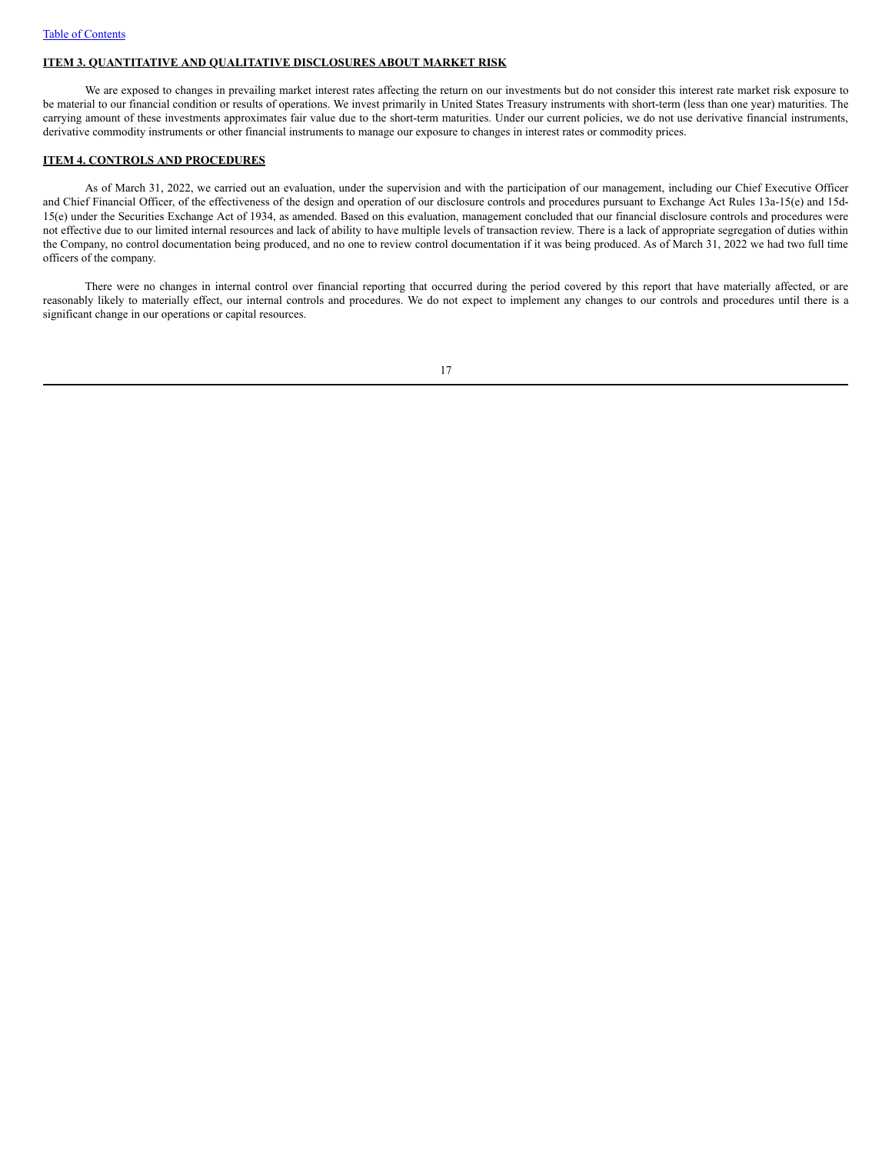# <span id="page-16-0"></span>**ITEM 3. QUANTITATIVE AND QUALITATIVE DISCLOSURES ABOUT MARKET RISK**

We are exposed to changes in prevailing market interest rates affecting the return on our investments but do not consider this interest rate market risk exposure to be material to our financial condition or results of operations. We invest primarily in United States Treasury instruments with short-term (less than one year) maturities. The carrying amount of these investments approximates fair value due to the short-term maturities. Under our current policies, we do not use derivative financial instruments, derivative commodity instruments or other financial instruments to manage our exposure to changes in interest rates or commodity prices.

# <span id="page-16-1"></span>**ITEM 4. CONTROLS AND PROCEDURES**

As of March 31, 2022, we carried out an evaluation, under the supervision and with the participation of our management, including our Chief Executive Officer and Chief Financial Officer, of the effectiveness of the design and operation of our disclosure controls and procedures pursuant to Exchange Act Rules 13a-15(e) and 15d-15(e) under the Securities Exchange Act of 1934, as amended. Based on this evaluation, management concluded that our financial disclosure controls and procedures were not effective due to our limited internal resources and lack of ability to have multiple levels of transaction review. There is a lack of appropriate segregation of duties within the Company, no control documentation being produced, and no one to review control documentation if it was being produced. As of March 31, 2022 we had two full time officers of the company.

There were no changes in internal control over financial reporting that occurred during the period covered by this report that have materially affected, or are reasonably likely to materially effect, our internal controls and procedures. We do not expect to implement any changes to our controls and procedures until there is a significant change in our operations or capital resources.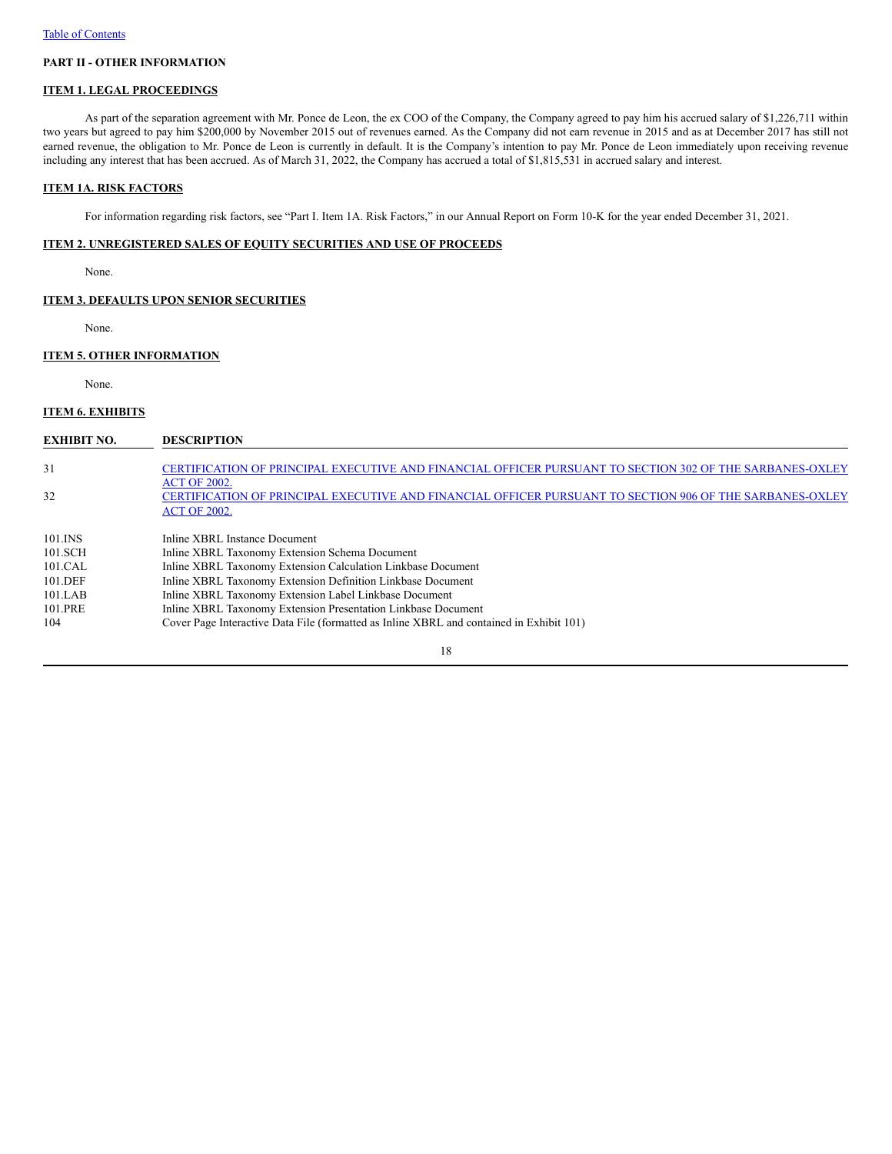# **PART II - OTHER INFORMATION**

# <span id="page-17-0"></span>**ITEM 1. LEGAL PROCEEDINGS**

As part of the separation agreement with Mr. Ponce de Leon, the ex COO of the Company, the Company agreed to pay him his accrued salary of \$1,226,711 within two years but agreed to pay him \$200,000 by November 2015 out of revenues earned. As the Company did not earn revenue in 2015 and as at December 2017 has still not earned revenue, the obligation to Mr. Ponce de Leon is currently in default. It is the Company's intention to pay Mr. Ponce de Leon immediately upon receiving revenue including any interest that has been accrued. As of March 31, 2022, the Company has accrued a total of \$1,815,531 in accrued salary and interest.

## <span id="page-17-1"></span>**ITEM 1A. RISK FACTORS**

For information regarding risk factors, see "Part I. Item 1A. Risk Factors," in our Annual Report on Form 10-K for the year ended December 31, 2021.

# <span id="page-17-2"></span>**ITEM 2. UNREGISTERED SALES OF EQUITY SECURITIES AND USE OF PROCEEDS**

None.

#### <span id="page-17-3"></span>**ITEM 3. DEFAULTS UPON SENIOR SECURITIES**

None.

# <span id="page-17-4"></span>**ITEM 5. OTHER INFORMATION**

None.

# <span id="page-17-5"></span>**ITEM 6. EXHIBITS**

| <b>EXHIBIT NO.</b> | <b>DESCRIPTION</b>                                                                                                              |
|--------------------|---------------------------------------------------------------------------------------------------------------------------------|
| 31                 | CERTIFICATION OF PRINCIPAL EXECUTIVE AND FINANCIAL OFFICER PURSUANT TO SECTION 302 OF THE SARBANES-OXLEY<br><b>ACT OF 2002.</b> |
| 32                 | CERTIFICATION OF PRINCIPAL EXECUTIVE AND FINANCIAL OFFICER PURSUANT TO SECTION 906 OF THE SARBANES-OXLEY<br><b>ACT OF 2002.</b> |
| 101.INS            | Inline XBRL Instance Document                                                                                                   |
| 101.SCH            | Inline XBRL Taxonomy Extension Schema Document                                                                                  |
| 101.CAL            | Inline XBRL Taxonomy Extension Calculation Linkbase Document                                                                    |
| 101.DEF            | Inline XBRL Taxonomy Extension Definition Linkbase Document                                                                     |
| $101$ .LAB         | Inline XBRL Taxonomy Extension Label Linkbase Document                                                                          |
| 101.PRE            | Inline XBRL Taxonomy Extension Presentation Linkbase Document                                                                   |
| 104                | Cover Page Interactive Data File (formatted as Inline XBRL and contained in Exhibit 101)                                        |

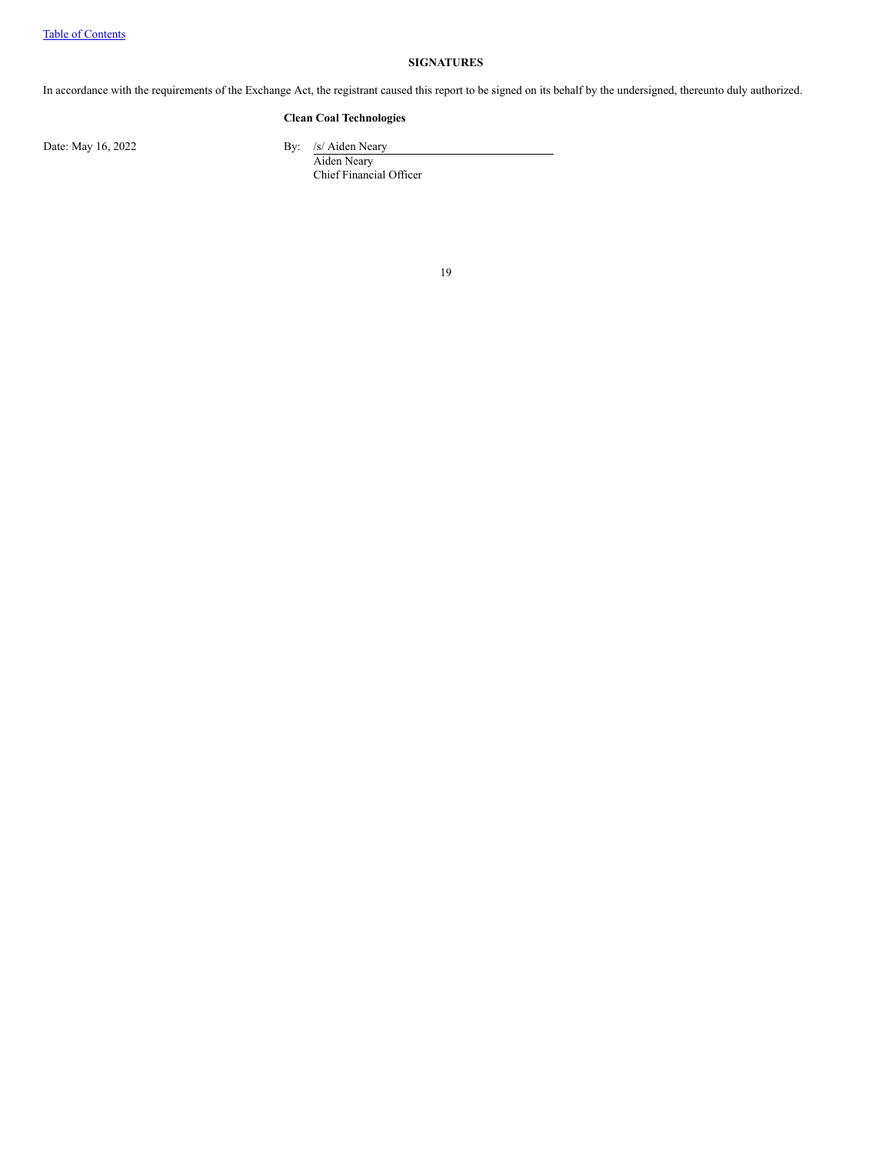# **SIGNATURES**

<span id="page-18-0"></span>In accordance with the requirements of the Exchange Act, the registrant caused this report to be signed on its behalf by the undersigned, thereunto duly authorized.

# **Clean Coal Technologies**

Date: May 16, 2022 By: /s/ Aiden Neary Aiden Neary

Chief Financial Officer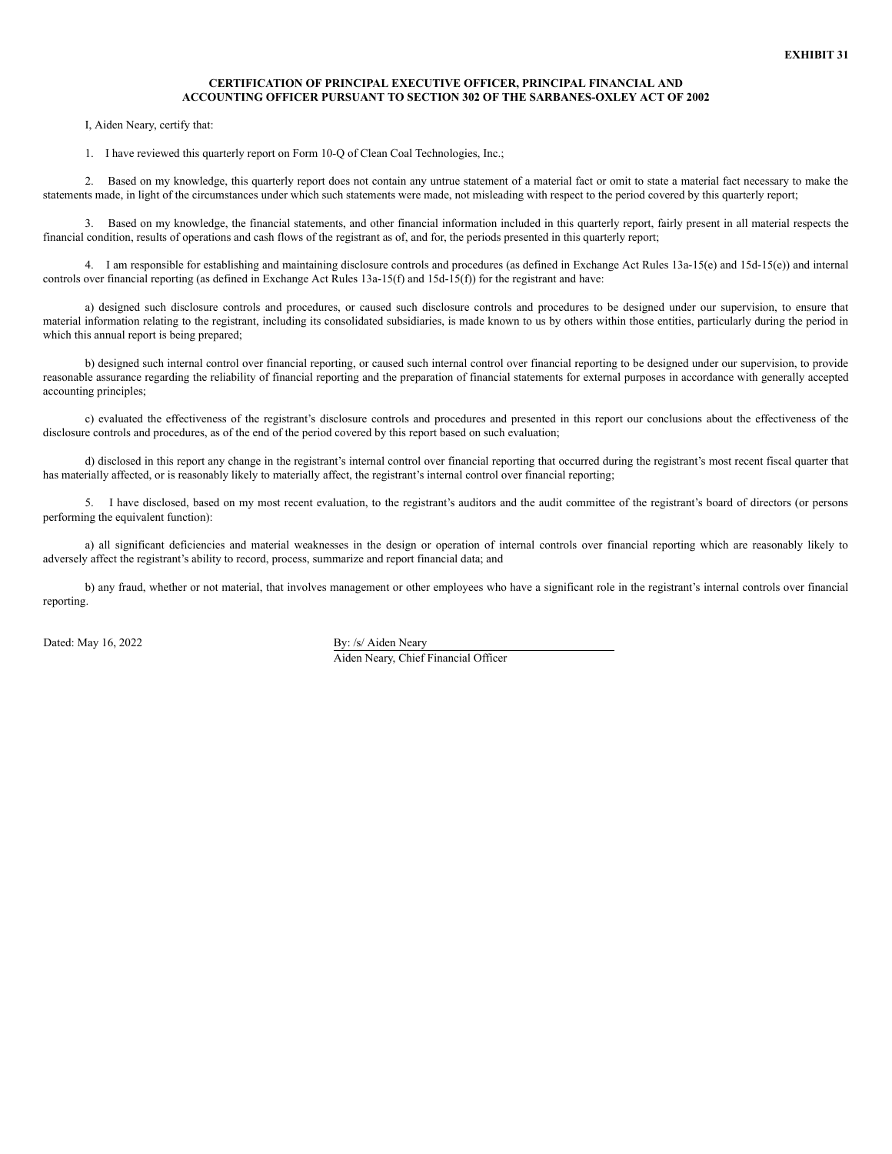# **CERTIFICATION OF PRINCIPAL EXECUTIVE OFFICER, PRINCIPAL FINANCIAL AND ACCOUNTING OFFICER PURSUANT TO SECTION 302 OF THE SARBANES-OXLEY ACT OF 2002**

I, Aiden Neary, certify that:

1. I have reviewed this quarterly report on Form 10-Q of Clean Coal Technologies, Inc.;

2. Based on my knowledge, this quarterly report does not contain any untrue statement of a material fact or omit to state a material fact necessary to make the statements made, in light of the circumstances under which such statements were made, not misleading with respect to the period covered by this quarterly report;

3. Based on my knowledge, the financial statements, and other financial information included in this quarterly report, fairly present in all material respects the financial condition, results of operations and cash flows of the registrant as of, and for, the periods presented in this quarterly report;

4. I am responsible for establishing and maintaining disclosure controls and procedures (as defined in Exchange Act Rules 13a-15(e) and 15d-15(e)) and internal controls over financial reporting (as defined in Exchange Act Rules  $13a-15(f)$  and  $15d-15(f)$ ) for the registrant and have:

a) designed such disclosure controls and procedures, or caused such disclosure controls and procedures to be designed under our supervision, to ensure that material information relating to the registrant, including its consolidated subsidiaries, is made known to us by others within those entities, particularly during the period in which this annual report is being prepared;

b) designed such internal control over financial reporting, or caused such internal control over financial reporting to be designed under our supervision, to provide reasonable assurance regarding the reliability of financial reporting and the preparation of financial statements for external purposes in accordance with generally accepted accounting principles;

c) evaluated the effectiveness of the registrant's disclosure controls and procedures and presented in this report our conclusions about the effectiveness of the disclosure controls and procedures, as of the end of the period covered by this report based on such evaluation;

d) disclosed in this report any change in the registrant's internal control over financial reporting that occurred during the registrant's most recent fiscal quarter that has materially affected, or is reasonably likely to materially affect, the registrant's internal control over financial reporting;

5. I have disclosed, based on my most recent evaluation, to the registrant's auditors and the audit committee of the registrant's board of directors (or persons performing the equivalent function):

a) all significant deficiencies and material weaknesses in the design or operation of internal controls over financial reporting which are reasonably likely to adversely affect the registrant's ability to record, process, summarize and report financial data; and

b) any fraud, whether or not material, that involves management or other employees who have a significant role in the registrant's internal controls over financial reporting.

Dated: May 16, 2022 By: /s/ Aiden Neary Aiden Neary, Chief Financial Officer